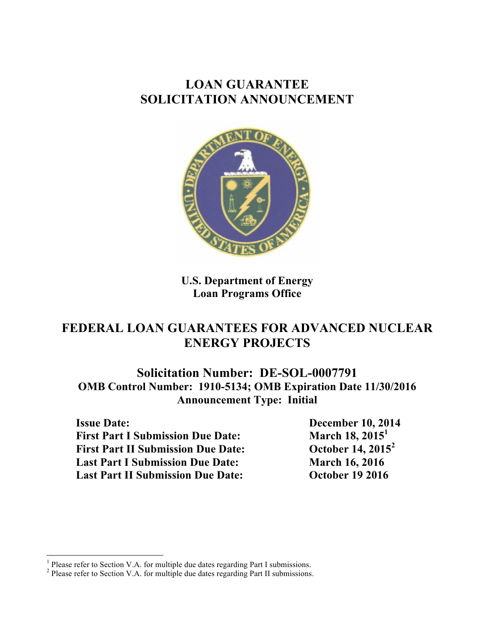# **LOAN GUARANTEE SOLICITATION ANNOUNCEMENT**



**U.S. Department of Energy Loan Programs Office**

# **FEDERAL LOAN GUARANTEES FOR ADVANCED NUCLEAR ENERGY PROJECTS**

**Solicitation Number: DE-SOL-0007791 OMB Control Number: 1910-5134; OMB Expiration Date 11/30/2016 Announcement Type: Initial**

**Issue Date: December 10, 2014 First Part I Submission Due Date:** March 18, 2015<sup>1</sup> **First Part II Submission Due Date: October 14, 2015<sup>2</sup> Last Part I Submission Due Date:** March 16, 2016 **Last Part II Submission Due Date: October 19 2016**

<sup>&</sup>lt;sup>1</sup> Please refer to Section V.A. for multiple due dates regarding Part I submissions. <sup>2</sup> Please refer to Section V.A. for multiple due dates regarding Part II submissions.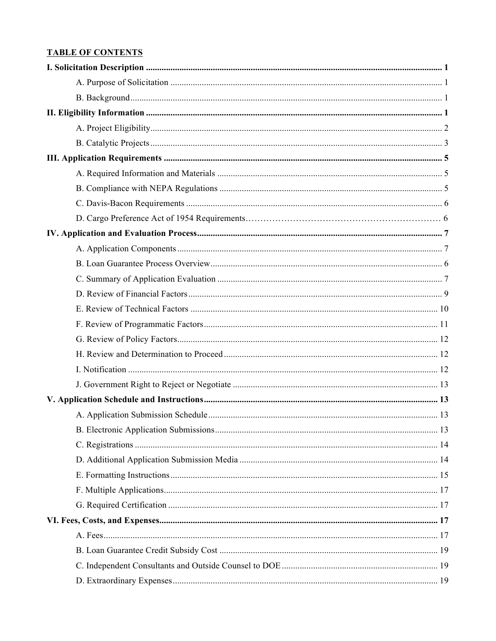# **TABLE OF CONTENTS**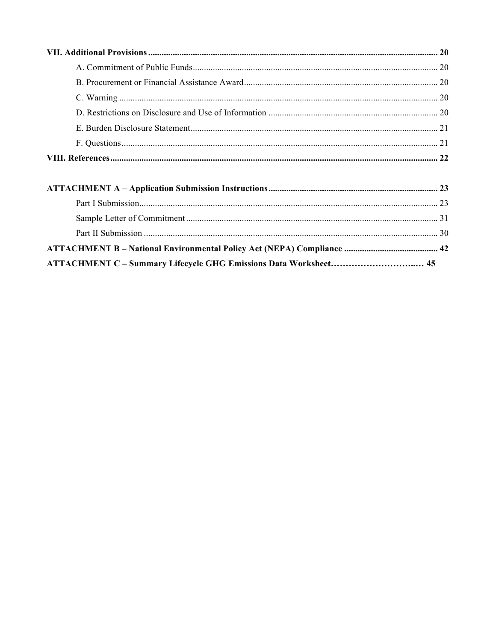ATTACHMENT C - Summary Lifecycle GHG Emissions Data Worksheet................................. 45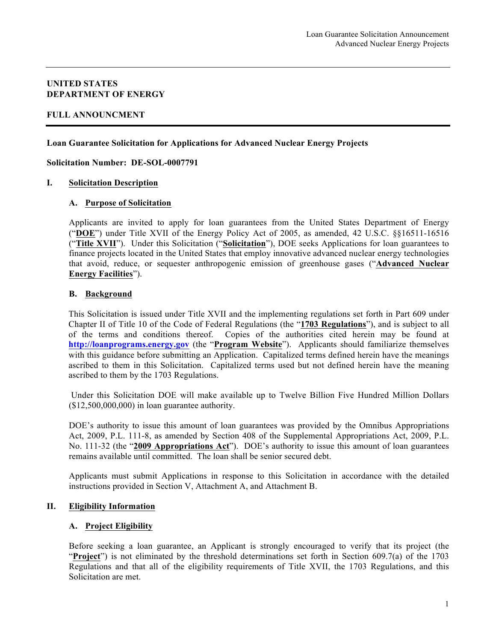#### **UNITED STATES DEPARTMENT OF ENERGY**

#### **FULL ANNOUNCMENT**

#### **Loan Guarantee Solicitation for Applications for Advanced Nuclear Energy Projects**

**Solicitation Number: DE-SOL-0007791**

#### **I. Solicitation Description**

#### **A. Purpose of Solicitation**

Applicants are invited to apply for loan guarantees from the United States Department of Energy ("**DOE**") under Title XVII of the Energy Policy Act of 2005, as amended, 42 U.S.C. §§16511-16516 ("**Title XVII**"). Under this Solicitation ("**Solicitation**"), DOE seeks Applications for loan guarantees to finance projects located in the United States that employ innovative advanced nuclear energy technologies that avoid, reduce, or sequester anthropogenic emission of greenhouse gases ("**Advanced Nuclear Energy Facilities**").

#### **B. Background**

This Solicitation is issued under Title XVII and the implementing regulations set forth in Part 609 under Chapter II of Title 10 of the Code of Federal Regulations (the "**1703 Regulations**"), and is subject to all of the terms and conditions thereof. Copies of the authorities cited herein may be found at **http://loanprograms.energy.gov** (the "**Program Website**"). Applicants should familiarize themselves with this guidance before submitting an Application. Capitalized terms defined herein have the meanings ascribed to them in this Solicitation. Capitalized terms used but not defined herein have the meaning ascribed to them by the 1703 Regulations.

Under this Solicitation DOE will make available up to Twelve Billion Five Hundred Million Dollars (\$12,500,000,000) in loan guarantee authority.

DOE's authority to issue this amount of loan guarantees was provided by the Omnibus Appropriations Act, 2009, P.L. 111-8, as amended by Section 408 of the Supplemental Appropriations Act, 2009, P.L. No. 111-32 (the "**2009 Appropriations Act**"). DOE's authority to issue this amount of loan guarantees remains available until committed. The loan shall be senior secured debt.

Applicants must submit Applications in response to this Solicitation in accordance with the detailed instructions provided in Section V, Attachment A, and Attachment B.

#### **II. Eligibility Information**

#### **A. Project Eligibility**

Before seeking a loan guarantee, an Applicant is strongly encouraged to verify that its project (the "**Project**") is not eliminated by the threshold determinations set forth in Section 609.7(a) of the 1703 Regulations and that all of the eligibility requirements of Title XVII, the 1703 Regulations, and this Solicitation are met.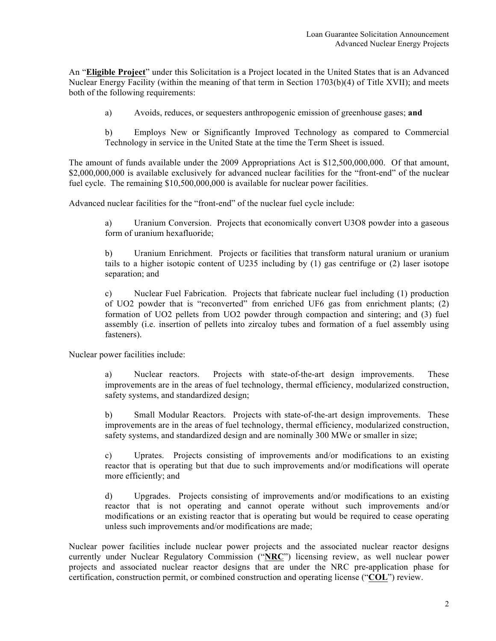An "**Eligible Project**" under this Solicitation is a Project located in the United States that is an Advanced Nuclear Energy Facility (within the meaning of that term in Section 1703(b)(4) of Title XVII); and meets both of the following requirements:

a) Avoids, reduces, or sequesters anthropogenic emission of greenhouse gases; **and**

b) Employs New or Significantly Improved Technology as compared to Commercial Technology in service in the United State at the time the Term Sheet is issued.

The amount of funds available under the 2009 Appropriations Act is \$12,500,000,000. Of that amount, \$2,000,000,000 is available exclusively for advanced nuclear facilities for the "front-end" of the nuclear fuel cycle. The remaining \$10,500,000,000 is available for nuclear power facilities.

Advanced nuclear facilities for the "front-end" of the nuclear fuel cycle include:

a) Uranium Conversion. Projects that economically convert U3O8 powder into a gaseous form of uranium hexafluoride;

b) Uranium Enrichment. Projects or facilities that transform natural uranium or uranium tails to a higher isotopic content of U235 including by (1) gas centrifuge or (2) laser isotope separation; and

c) Nuclear Fuel Fabrication. Projects that fabricate nuclear fuel including (1) production of UO2 powder that is "reconverted" from enriched UF6 gas from enrichment plants; (2) formation of UO2 pellets from UO2 powder through compaction and sintering; and (3) fuel assembly (i.e. insertion of pellets into zircaloy tubes and formation of a fuel assembly using fasteners).

Nuclear power facilities include:

a) Nuclear reactors. Projects with state-of-the-art design improvements. These improvements are in the areas of fuel technology, thermal efficiency, modularized construction, safety systems, and standardized design;

b) Small Modular Reactors. Projects with state-of-the-art design improvements. These improvements are in the areas of fuel technology, thermal efficiency, modularized construction, safety systems, and standardized design and are nominally 300 MWe or smaller in size;

c) Uprates. Projects consisting of improvements and/or modifications to an existing reactor that is operating but that due to such improvements and/or modifications will operate more efficiently; and

d) Upgrades. Projects consisting of improvements and/or modifications to an existing reactor that is not operating and cannot operate without such improvements and/or modifications or an existing reactor that is operating but would be required to cease operating unless such improvements and/or modifications are made;

Nuclear power facilities include nuclear power projects and the associated nuclear reactor designs currently under Nuclear Regulatory Commission ("**NRC**") licensing review, as well nuclear power projects and associated nuclear reactor designs that are under the NRC pre-application phase for certification, construction permit, or combined construction and operating license ("**COL**") review.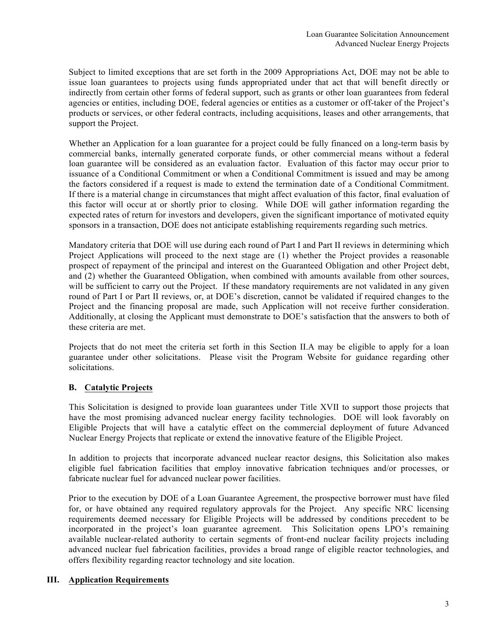Subject to limited exceptions that are set forth in the 2009 Appropriations Act, DOE may not be able to issue loan guarantees to projects using funds appropriated under that act that will benefit directly or indirectly from certain other forms of federal support, such as grants or other loan guarantees from federal agencies or entities, including DOE, federal agencies or entities as a customer or off-taker of the Project's products or services, or other federal contracts, including acquisitions, leases and other arrangements, that support the Project.

Whether an Application for a loan guarantee for a project could be fully financed on a long-term basis by commercial banks, internally generated corporate funds, or other commercial means without a federal loan guarantee will be considered as an evaluation factor. Evaluation of this factor may occur prior to issuance of a Conditional Commitment or when a Conditional Commitment is issued and may be among the factors considered if a request is made to extend the termination date of a Conditional Commitment. If there is a material change in circumstances that might affect evaluation of this factor, final evaluation of this factor will occur at or shortly prior to closing. While DOE will gather information regarding the expected rates of return for investors and developers, given the significant importance of motivated equity sponsors in a transaction, DOE does not anticipate establishing requirements regarding such metrics.

Mandatory criteria that DOE will use during each round of Part I and Part II reviews in determining which Project Applications will proceed to the next stage are (1) whether the Project provides a reasonable prospect of repayment of the principal and interest on the Guaranteed Obligation and other Project debt, and (2) whether the Guaranteed Obligation, when combined with amounts available from other sources, will be sufficient to carry out the Project. If these mandatory requirements are not validated in any given round of Part I or Part II reviews, or, at DOE's discretion, cannot be validated if required changes to the Project and the financing proposal are made, such Application will not receive further consideration. Additionally, at closing the Applicant must demonstrate to DOE's satisfaction that the answers to both of these criteria are met.

Projects that do not meet the criteria set forth in this Section II.A may be eligible to apply for a loan guarantee under other solicitations. Please visit the Program Website for guidance regarding other solicitations.

# **B. Catalytic Projects**

This Solicitation is designed to provide loan guarantees under Title XVII to support those projects that have the most promising advanced nuclear energy facility technologies. DOE will look favorably on Eligible Projects that will have a catalytic effect on the commercial deployment of future Advanced Nuclear Energy Projects that replicate or extend the innovative feature of the Eligible Project.

In addition to projects that incorporate advanced nuclear reactor designs, this Solicitation also makes eligible fuel fabrication facilities that employ innovative fabrication techniques and/or processes, or fabricate nuclear fuel for advanced nuclear power facilities.

Prior to the execution by DOE of a Loan Guarantee Agreement, the prospective borrower must have filed for, or have obtained any required regulatory approvals for the Project. Any specific NRC licensing requirements deemed necessary for Eligible Projects will be addressed by conditions precedent to be incorporated in the project's loan guarantee agreement. This Solicitation opens LPO's remaining available nuclear-related authority to certain segments of front-end nuclear facility projects including advanced nuclear fuel fabrication facilities, provides a broad range of eligible reactor technologies, and offers flexibility regarding reactor technology and site location.

#### **III. Application Requirements**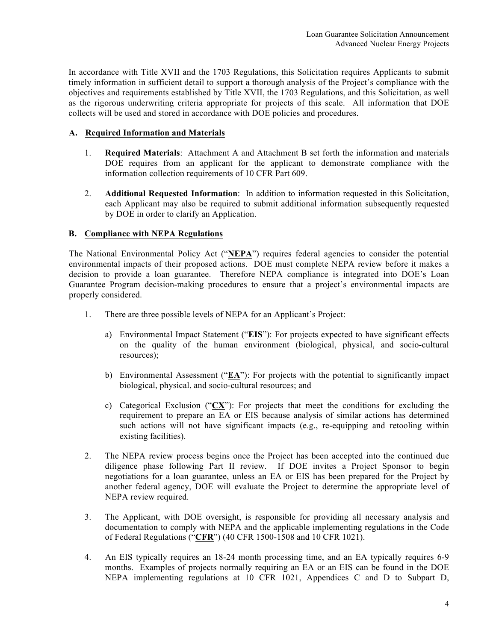In accordance with Title XVII and the 1703 Regulations, this Solicitation requires Applicants to submit timely information in sufficient detail to support a thorough analysis of the Project's compliance with the objectives and requirements established by Title XVII, the 1703 Regulations, and this Solicitation, as well as the rigorous underwriting criteria appropriate for projects of this scale. All information that DOE collects will be used and stored in accordance with DOE policies and procedures.

### **A. Required Information and Materials**

- 1. **Required Materials**: Attachment A and Attachment B set forth the information and materials DOE requires from an applicant for the applicant to demonstrate compliance with the information collection requirements of 10 CFR Part 609.
- 2. **Additional Requested Information**: In addition to information requested in this Solicitation, each Applicant may also be required to submit additional information subsequently requested by DOE in order to clarify an Application.

# **B. Compliance with NEPA Regulations**

The National Environmental Policy Act ("**NEPA**") requires federal agencies to consider the potential environmental impacts of their proposed actions. DOE must complete NEPA review before it makes a decision to provide a loan guarantee. Therefore NEPA compliance is integrated into DOE's Loan Guarantee Program decision-making procedures to ensure that a project's environmental impacts are properly considered.

- 1. There are three possible levels of NEPA for an Applicant's Project:
	- a) Environmental Impact Statement ("**EIS**"): For projects expected to have significant effects on the quality of the human environment (biological, physical, and socio-cultural resources);
	- b) Environmental Assessment ("**EA**"): For projects with the potential to significantly impact biological, physical, and socio-cultural resources; and
	- c) Categorical Exclusion ("**CX**"): For projects that meet the conditions for excluding the requirement to prepare an EA or EIS because analysis of similar actions has determined such actions will not have significant impacts (e.g., re-equipping and retooling within existing facilities).
- 2. The NEPA review process begins once the Project has been accepted into the continued due diligence phase following Part II review. If DOE invites a Project Sponsor to begin negotiations for a loan guarantee, unless an EA or EIS has been prepared for the Project by another federal agency, DOE will evaluate the Project to determine the appropriate level of NEPA review required.
- 3. The Applicant, with DOE oversight, is responsible for providing all necessary analysis and documentation to comply with NEPA and the applicable implementing regulations in the Code of Federal Regulations ("**CFR**") (40 CFR 1500-1508 and 10 CFR 1021).
- 4. An EIS typically requires an 18-24 month processing time, and an EA typically requires 6-9 months. Examples of projects normally requiring an EA or an EIS can be found in the DOE NEPA implementing regulations at 10 CFR 1021, Appendices C and D to Subpart D,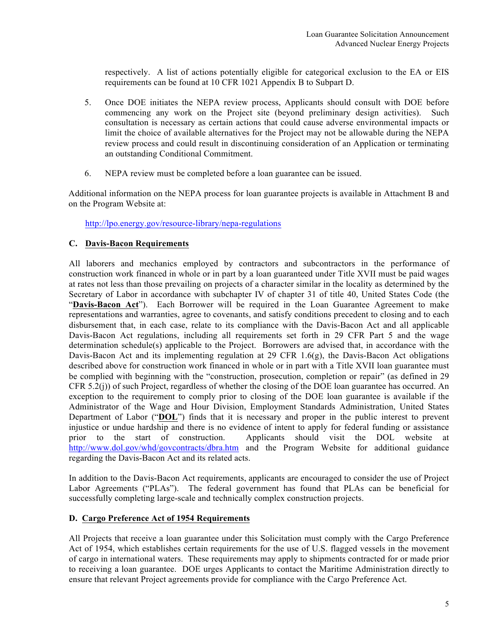respectively. A list of actions potentially eligible for categorical exclusion to the EA or EIS requirements can be found at 10 CFR 1021 Appendix B to Subpart D.

- 5. Once DOE initiates the NEPA review process, Applicants should consult with DOE before commencing any work on the Project site (beyond preliminary design activities). Such consultation is necessary as certain actions that could cause adverse environmental impacts or limit the choice of available alternatives for the Project may not be allowable during the NEPA review process and could result in discontinuing consideration of an Application or terminating an outstanding Conditional Commitment.
- 6. NEPA review must be completed before a loan guarantee can be issued.

Additional information on the NEPA process for loan guarantee projects is available in Attachment B and on the Program Website at:

http://lpo.energy.gov/resource-library/nepa-regulations

# **C. Davis-Bacon Requirements**

All laborers and mechanics employed by contractors and subcontractors in the performance of construction work financed in whole or in part by a loan guaranteed under Title XVII must be paid wages at rates not less than those prevailing on projects of a character similar in the locality as determined by the Secretary of Labor in accordance with subchapter IV of chapter 31 of title 40, United States Code (the "**Davis-Bacon Act**"). Each Borrower will be required in the Loan Guarantee Agreement to make representations and warranties, agree to covenants, and satisfy conditions precedent to closing and to each disbursement that, in each case, relate to its compliance with the Davis-Bacon Act and all applicable Davis-Bacon Act regulations, including all requirements set forth in 29 CFR Part 5 and the wage determination schedule(s) applicable to the Project. Borrowers are advised that, in accordance with the Davis-Bacon Act and its implementing regulation at 29 CFR 1.6(g), the Davis-Bacon Act obligations described above for construction work financed in whole or in part with a Title XVII loan guarantee must be complied with beginning with the "construction, prosecution, completion or repair" (as defined in 29 CFR 5.2(j)) of such Project, regardless of whether the closing of the DOE loan guarantee has occurred. An exception to the requirement to comply prior to closing of the DOE loan guarantee is available if the Administrator of the Wage and Hour Division, Employment Standards Administration, United States Department of Labor ("**DOL**") finds that it is necessary and proper in the public interest to prevent injustice or undue hardship and there is no evidence of intent to apply for federal funding or assistance prior to the start of construction. Applicants should visit the DOL website at http://www.dol.gov/whd/govcontracts/dbra.htm and the Program Website for additional guidance regarding the Davis-Bacon Act and its related acts.

In addition to the Davis-Bacon Act requirements, applicants are encouraged to consider the use of Project Labor Agreements ("PLAs"). The federal government has found that PLAs can be beneficial for successfully completing large-scale and technically complex construction projects.

# **D. Cargo Preference Act of 1954 Requirements**

All Projects that receive a loan guarantee under this Solicitation must comply with the Cargo Preference Act of 1954, which establishes certain requirements for the use of U.S. flagged vessels in the movement of cargo in international waters. These requirements may apply to shipments contracted for or made prior to receiving a loan guarantee. DOE urges Applicants to contact the Maritime Administration directly to ensure that relevant Project agreements provide for compliance with the Cargo Preference Act.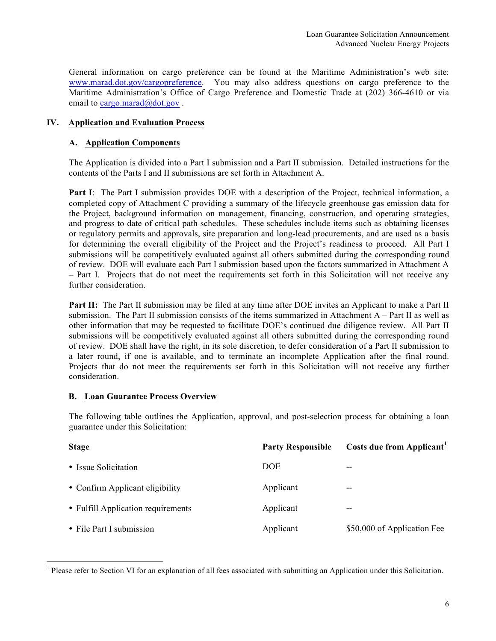General information on cargo preference can be found at the Maritime Administration's web site: www.marad.dot.gov/cargopreference. You may also address questions on cargo preference to the Maritime Administration's Office of Cargo Preference and Domestic Trade at (202) 366-4610 or via email to cargo.marad@dot.gov.

# **IV. Application and Evaluation Process**

#### **A. Application Components**

The Application is divided into a Part I submission and a Part II submission. Detailed instructions for the contents of the Parts I and II submissions are set forth in Attachment A.

**Part I**: The Part I submission provides DOE with a description of the Project, technical information, a completed copy of Attachment C providing a summary of the lifecycle greenhouse gas emission data for the Project, background information on management, financing, construction, and operating strategies, and progress to date of critical path schedules. These schedules include items such as obtaining licenses or regulatory permits and approvals, site preparation and long-lead procurements, and are used as a basis for determining the overall eligibility of the Project and the Project's readiness to proceed. All Part I submissions will be competitively evaluated against all others submitted during the corresponding round of review. DOE will evaluate each Part I submission based upon the factors summarized in Attachment A – Part I. Projects that do not meet the requirements set forth in this Solicitation will not receive any further consideration.

**Part II:** The Part II submission may be filed at any time after DOE invites an Applicant to make a Part II submission. The Part II submission consists of the items summarized in Attachment A – Part II as well as other information that may be requested to facilitate DOE's continued due diligence review. All Part II submissions will be competitively evaluated against all others submitted during the corresponding round of review. DOE shall have the right, in its sole discretion, to defer consideration of a Part II submission to a later round, if one is available, and to terminate an incomplete Application after the final round. Projects that do not meet the requirements set forth in this Solicitation will not receive any further consideration.

#### **B. Loan Guarantee Process Overview**

The following table outlines the Application, approval, and post-selection process for obtaining a loan guarantee under this Solicitation:

| <b>Stage</b>                       | <b>Party Responsible</b> | Costs due from Applicant <sup>1</sup> |
|------------------------------------|--------------------------|---------------------------------------|
| • Issue Solicitation               | <b>DOE</b>               | $- -$                                 |
| • Confirm Applicant eligibility    | Applicant                | $- -$                                 |
| • Fulfill Application requirements | Applicant                | $-$                                   |
| • File Part I submission           | Applicant                | \$50,000 of Application Fee           |

<sup>&</sup>lt;sup>1</sup> Please refer to Section VI for an explanation of all fees associated with submitting an Application under this Solicitation.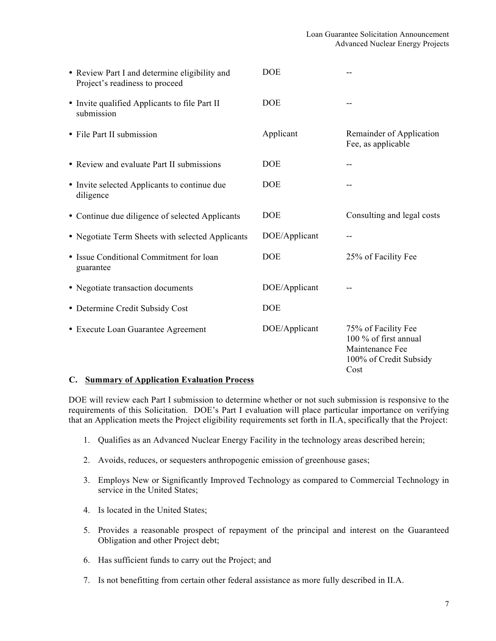| • Review Part I and determine eligibility and<br>Project's readiness to proceed | <b>DOE</b>    |                                                                                                   |
|---------------------------------------------------------------------------------|---------------|---------------------------------------------------------------------------------------------------|
| • Invite qualified Applicants to file Part II<br>submission                     | <b>DOE</b>    | --                                                                                                |
| • File Part II submission                                                       | Applicant     | Remainder of Application<br>Fee, as applicable                                                    |
| • Review and evaluate Part II submissions                                       | <b>DOE</b>    | --                                                                                                |
| • Invite selected Applicants to continue due<br>diligence                       | <b>DOE</b>    |                                                                                                   |
| • Continue due diligence of selected Applicants                                 | <b>DOE</b>    | Consulting and legal costs                                                                        |
| • Negotiate Term Sheets with selected Applicants                                | DOE/Applicant | --                                                                                                |
| • Issue Conditional Commitment for loan<br>guarantee                            | <b>DOE</b>    | 25% of Facility Fee                                                                               |
| • Negotiate transaction documents                                               | DOE/Applicant |                                                                                                   |
| • Determine Credit Subsidy Cost                                                 | <b>DOE</b>    |                                                                                                   |
| • Execute Loan Guarantee Agreement                                              | DOE/Applicant | 75% of Facility Fee<br>100 % of first annual<br>Maintenance Fee<br>100% of Credit Subsidy<br>Cost |

#### **C. Summary of Application Evaluation Process**

DOE will review each Part I submission to determine whether or not such submission is responsive to the requirements of this Solicitation. DOE's Part I evaluation will place particular importance on verifying that an Application meets the Project eligibility requirements set forth in II.A, specifically that the Project:

- 1. Qualifies as an Advanced Nuclear Energy Facility in the technology areas described herein;
- 2. Avoids, reduces, or sequesters anthropogenic emission of greenhouse gases;
- 3. Employs New or Significantly Improved Technology as compared to Commercial Technology in service in the United States;
- 4. Is located in the United States;
- 5. Provides a reasonable prospect of repayment of the principal and interest on the Guaranteed Obligation and other Project debt;
- 6. Has sufficient funds to carry out the Project; and
- 7. Is not benefitting from certain other federal assistance as more fully described in II.A.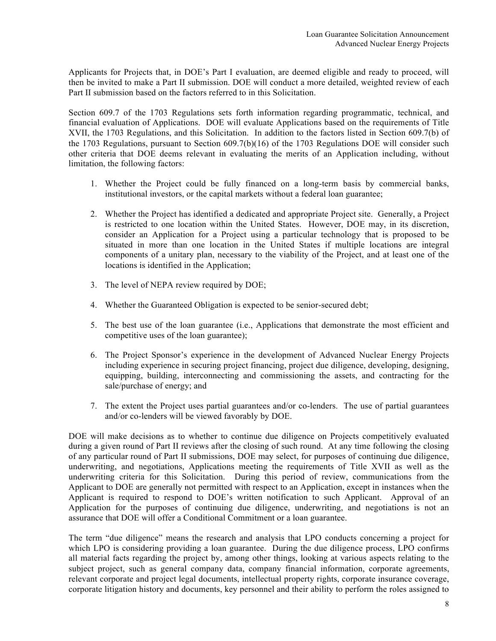Applicants for Projects that, in DOE's Part I evaluation, are deemed eligible and ready to proceed, will then be invited to make a Part II submission. DOE will conduct a more detailed, weighted review of each Part II submission based on the factors referred to in this Solicitation.

Section 609.7 of the 1703 Regulations sets forth information regarding programmatic, technical, and financial evaluation of Applications. DOE will evaluate Applications based on the requirements of Title XVII, the 1703 Regulations, and this Solicitation. In addition to the factors listed in Section 609.7(b) of the 1703 Regulations, pursuant to Section 609.7(b)(16) of the 1703 Regulations DOE will consider such other criteria that DOE deems relevant in evaluating the merits of an Application including, without limitation, the following factors:

- 1. Whether the Project could be fully financed on a long-term basis by commercial banks, institutional investors, or the capital markets without a federal loan guarantee;
- 2. Whether the Project has identified a dedicated and appropriate Project site. Generally, a Project is restricted to one location within the United States. However, DOE may, in its discretion, consider an Application for a Project using a particular technology that is proposed to be situated in more than one location in the United States if multiple locations are integral components of a unitary plan, necessary to the viability of the Project, and at least one of the locations is identified in the Application;
- 3. The level of NEPA review required by DOE;
- 4. Whether the Guaranteed Obligation is expected to be senior-secured debt;
- 5. The best use of the loan guarantee (i.e., Applications that demonstrate the most efficient and competitive uses of the loan guarantee);
- 6. The Project Sponsor's experience in the development of Advanced Nuclear Energy Projects including experience in securing project financing, project due diligence, developing, designing, equipping, building, interconnecting and commissioning the assets, and contracting for the sale/purchase of energy; and
- 7. The extent the Project uses partial guarantees and/or co-lenders. The use of partial guarantees and/or co-lenders will be viewed favorably by DOE.

DOE will make decisions as to whether to continue due diligence on Projects competitively evaluated during a given round of Part II reviews after the closing of such round. At any time following the closing of any particular round of Part II submissions, DOE may select, for purposes of continuing due diligence, underwriting, and negotiations, Applications meeting the requirements of Title XVII as well as the underwriting criteria for this Solicitation. During this period of review, communications from the Applicant to DOE are generally not permitted with respect to an Application, except in instances when the Applicant is required to respond to DOE's written notification to such Applicant. Approval of an Application for the purposes of continuing due diligence, underwriting, and negotiations is not an assurance that DOE will offer a Conditional Commitment or a loan guarantee.

The term "due diligence" means the research and analysis that LPO conducts concerning a project for which LPO is considering providing a loan guarantee. During the due diligence process, LPO confirms all material facts regarding the project by, among other things, looking at various aspects relating to the subject project, such as general company data, company financial information, corporate agreements, relevant corporate and project legal documents, intellectual property rights, corporate insurance coverage, corporate litigation history and documents, key personnel and their ability to perform the roles assigned to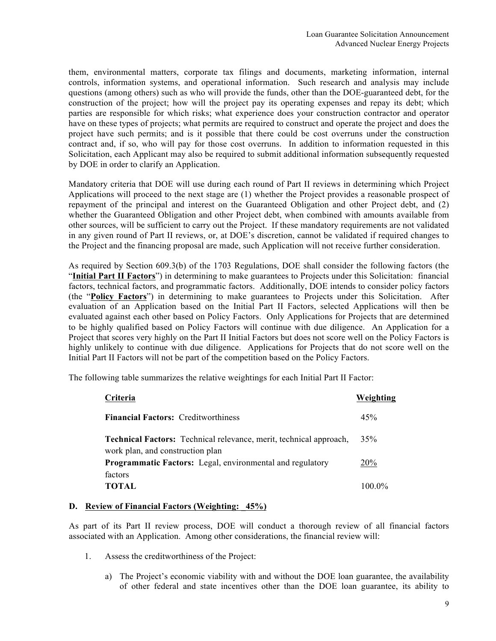them, environmental matters, corporate tax filings and documents, marketing information, internal controls, information systems, and operational information. Such research and analysis may include questions (among others) such as who will provide the funds, other than the DOE-guaranteed debt, for the construction of the project; how will the project pay its operating expenses and repay its debt; which parties are responsible for which risks; what experience does your construction contractor and operator have on these types of projects; what permits are required to construct and operate the project and does the project have such permits; and is it possible that there could be cost overruns under the construction contract and, if so, who will pay for those cost overruns. In addition to information requested in this Solicitation, each Applicant may also be required to submit additional information subsequently requested by DOE in order to clarify an Application.

Mandatory criteria that DOE will use during each round of Part II reviews in determining which Project Applications will proceed to the next stage are (1) whether the Project provides a reasonable prospect of repayment of the principal and interest on the Guaranteed Obligation and other Project debt, and (2) whether the Guaranteed Obligation and other Project debt, when combined with amounts available from other sources, will be sufficient to carry out the Project. If these mandatory requirements are not validated in any given round of Part II reviews, or, at DOE's discretion, cannot be validated if required changes to the Project and the financing proposal are made, such Application will not receive further consideration.

As required by Section 609.3(b) of the 1703 Regulations, DOE shall consider the following factors (the "**Initial Part II Factors**") in determining to make guarantees to Projects under this Solicitation: financial factors, technical factors, and programmatic factors. Additionally, DOE intends to consider policy factors (the "**Policy Factors**") in determining to make guarantees to Projects under this Solicitation. After evaluation of an Application based on the Initial Part II Factors, selected Applications will then be evaluated against each other based on Policy Factors. Only Applications for Projects that are determined to be highly qualified based on Policy Factors will continue with due diligence. An Application for a Project that scores very highly on the Part II Initial Factors but does not score well on the Policy Factors is highly unlikely to continue with due diligence. Applications for Projects that do not score well on the Initial Part II Factors will not be part of the competition based on the Policy Factors.

The following table summarizes the relative weightings for each Initial Part II Factor:

| Criteria                                                                                                      | Weighting  |
|---------------------------------------------------------------------------------------------------------------|------------|
| <b>Financial Factors:</b> Creditworthiness                                                                    | 45%        |
| <b>Technical Factors:</b> Technical relevance, merit, technical approach,<br>work plan, and construction plan | 35%        |
| <b>Programmatic Factors:</b> Legal, environmental and regulatory                                              | <b>20%</b> |
| factors<br><b>TOTAL</b>                                                                                       | 100.0%     |

#### **D. Review of Financial Factors (Weighting: \_45%)**

As part of its Part II review process, DOE will conduct a thorough review of all financial factors associated with an Application. Among other considerations, the financial review will:

- 1. Assess the creditworthiness of the Project:
	- a) The Project's economic viability with and without the DOE loan guarantee, the availability of other federal and state incentives other than the DOE loan guarantee, its ability to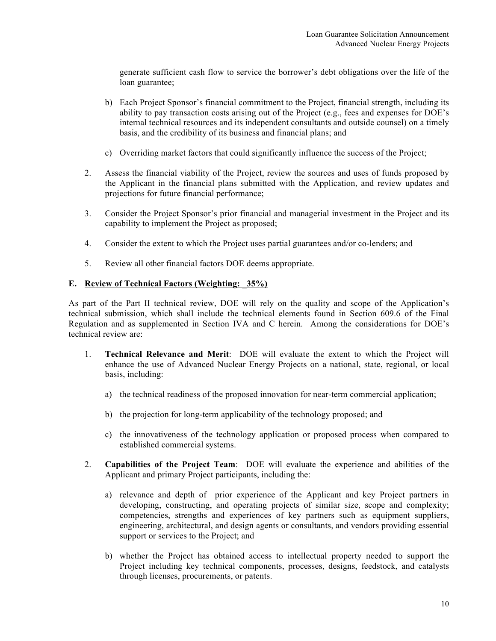generate sufficient cash flow to service the borrower's debt obligations over the life of the loan guarantee;

- b) Each Project Sponsor's financial commitment to the Project, financial strength, including its ability to pay transaction costs arising out of the Project (e.g., fees and expenses for DOE's internal technical resources and its independent consultants and outside counsel) on a timely basis, and the credibility of its business and financial plans; and
- c) Overriding market factors that could significantly influence the success of the Project;
- 2. Assess the financial viability of the Project, review the sources and uses of funds proposed by the Applicant in the financial plans submitted with the Application, and review updates and projections for future financial performance;
- 3. Consider the Project Sponsor's prior financial and managerial investment in the Project and its capability to implement the Project as proposed;
- 4. Consider the extent to which the Project uses partial guarantees and/or co-lenders; and
- 5. Review all other financial factors DOE deems appropriate.

#### **E. Review of Technical Factors (Weighting: \_35%)**

As part of the Part II technical review, DOE will rely on the quality and scope of the Application's technical submission, which shall include the technical elements found in Section 609.6 of the Final Regulation and as supplemented in Section IVA and C herein. Among the considerations for DOE's technical review are:

- 1. **Technical Relevance and Merit**: DOE will evaluate the extent to which the Project will enhance the use of Advanced Nuclear Energy Projects on a national, state, regional, or local basis, including:
	- a) the technical readiness of the proposed innovation for near-term commercial application;
	- b) the projection for long-term applicability of the technology proposed; and
	- c) the innovativeness of the technology application or proposed process when compared to established commercial systems.
- 2. **Capabilities of the Project Team**: DOE will evaluate the experience and abilities of the Applicant and primary Project participants, including the:
	- a) relevance and depth of prior experience of the Applicant and key Project partners in developing, constructing, and operating projects of similar size, scope and complexity; competencies, strengths and experiences of key partners such as equipment suppliers, engineering, architectural, and design agents or consultants, and vendors providing essential support or services to the Project; and
	- b) whether the Project has obtained access to intellectual property needed to support the Project including key technical components, processes, designs, feedstock, and catalysts through licenses, procurements, or patents.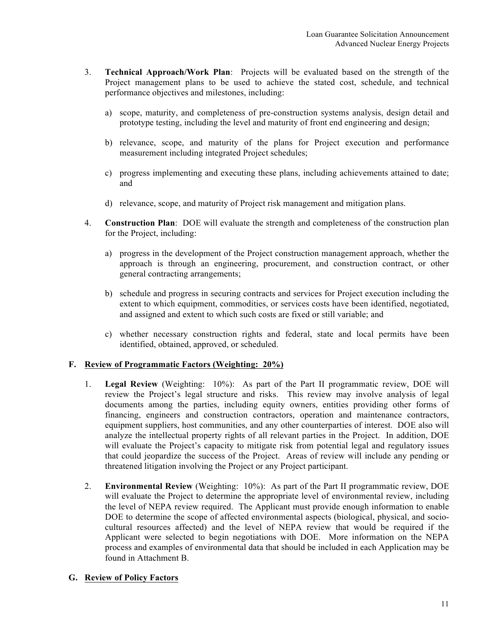- 3. **Technical Approach/Work Plan**: Projects will be evaluated based on the strength of the Project management plans to be used to achieve the stated cost, schedule, and technical performance objectives and milestones, including:
	- a) scope, maturity, and completeness of pre-construction systems analysis, design detail and prototype testing, including the level and maturity of front end engineering and design;
	- b) relevance, scope, and maturity of the plans for Project execution and performance measurement including integrated Project schedules;
	- c) progress implementing and executing these plans, including achievements attained to date; and
	- d) relevance, scope, and maturity of Project risk management and mitigation plans.
- 4. **Construction Plan**: DOE will evaluate the strength and completeness of the construction plan for the Project, including:
	- a) progress in the development of the Project construction management approach, whether the approach is through an engineering, procurement, and construction contract, or other general contracting arrangements;
	- b) schedule and progress in securing contracts and services for Project execution including the extent to which equipment, commodities, or services costs have been identified, negotiated, and assigned and extent to which such costs are fixed or still variable; and
	- c) whether necessary construction rights and federal, state and local permits have been identified, obtained, approved, or scheduled.

#### **F. Review of Programmatic Factors (Weighting: 20%)**

- 1. **Legal Review** (Weighting: 10%): As part of the Part II programmatic review, DOE will review the Project's legal structure and risks. This review may involve analysis of legal documents among the parties, including equity owners, entities providing other forms of financing, engineers and construction contractors, operation and maintenance contractors, equipment suppliers, host communities, and any other counterparties of interest. DOE also will analyze the intellectual property rights of all relevant parties in the Project. In addition, DOE will evaluate the Project's capacity to mitigate risk from potential legal and regulatory issues that could jeopardize the success of the Project. Areas of review will include any pending or threatened litigation involving the Project or any Project participant.
- 2. **Environmental Review** (Weighting: 10%): As part of the Part II programmatic review, DOE will evaluate the Project to determine the appropriate level of environmental review, including the level of NEPA review required. The Applicant must provide enough information to enable DOE to determine the scope of affected environmental aspects (biological, physical, and sociocultural resources affected) and the level of NEPA review that would be required if the Applicant were selected to begin negotiations with DOE. More information on the NEPA process and examples of environmental data that should be included in each Application may be found in Attachment B.

#### **G. Review of Policy Factors**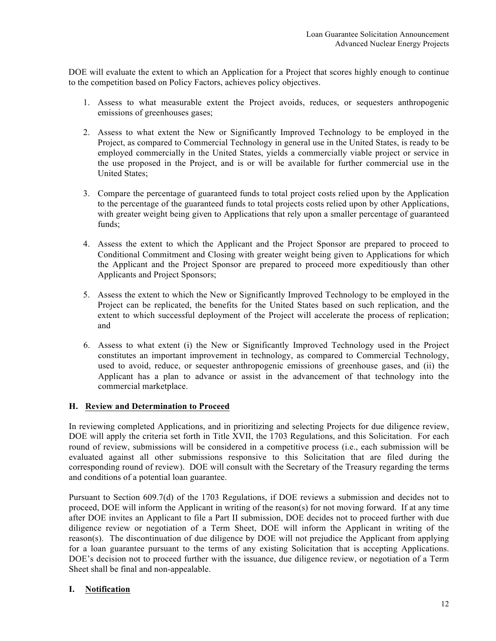DOE will evaluate the extent to which an Application for a Project that scores highly enough to continue to the competition based on Policy Factors, achieves policy objectives.

- 1. Assess to what measurable extent the Project avoids, reduces, or sequesters anthropogenic emissions of greenhouses gases;
- 2. Assess to what extent the New or Significantly Improved Technology to be employed in the Project, as compared to Commercial Technology in general use in the United States, is ready to be employed commercially in the United States, yields a commercially viable project or service in the use proposed in the Project, and is or will be available for further commercial use in the United States;
- 3. Compare the percentage of guaranteed funds to total project costs relied upon by the Application to the percentage of the guaranteed funds to total projects costs relied upon by other Applications, with greater weight being given to Applications that rely upon a smaller percentage of guaranteed funds;
- 4. Assess the extent to which the Applicant and the Project Sponsor are prepared to proceed to Conditional Commitment and Closing with greater weight being given to Applications for which the Applicant and the Project Sponsor are prepared to proceed more expeditiously than other Applicants and Project Sponsors;
- 5. Assess the extent to which the New or Significantly Improved Technology to be employed in the Project can be replicated, the benefits for the United States based on such replication, and the extent to which successful deployment of the Project will accelerate the process of replication; and
- 6. Assess to what extent (i) the New or Significantly Improved Technology used in the Project constitutes an important improvement in technology, as compared to Commercial Technology, used to avoid, reduce, or sequester anthropogenic emissions of greenhouse gases, and (ii) the Applicant has a plan to advance or assist in the advancement of that technology into the commercial marketplace.

#### **H. Review and Determination to Proceed**

In reviewing completed Applications, and in prioritizing and selecting Projects for due diligence review, DOE will apply the criteria set forth in Title XVII, the 1703 Regulations, and this Solicitation. For each round of review, submissions will be considered in a competitive process (i.e., each submission will be evaluated against all other submissions responsive to this Solicitation that are filed during the corresponding round of review). DOE will consult with the Secretary of the Treasury regarding the terms and conditions of a potential loan guarantee.

Pursuant to Section 609.7(d) of the 1703 Regulations, if DOE reviews a submission and decides not to proceed, DOE will inform the Applicant in writing of the reason(s) for not moving forward. If at any time after DOE invites an Applicant to file a Part II submission, DOE decides not to proceed further with due diligence review or negotiation of a Term Sheet, DOE will inform the Applicant in writing of the reason(s). The discontinuation of due diligence by DOE will not prejudice the Applicant from applying for a loan guarantee pursuant to the terms of any existing Solicitation that is accepting Applications. DOE's decision not to proceed further with the issuance, due diligence review, or negotiation of a Term Sheet shall be final and non-appealable.

#### **I. Notification**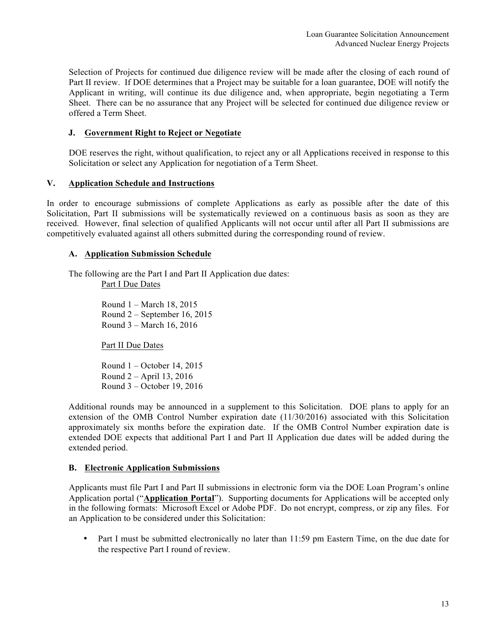Selection of Projects for continued due diligence review will be made after the closing of each round of Part II review. If DOE determines that a Project may be suitable for a loan guarantee, DOE will notify the Applicant in writing, will continue its due diligence and, when appropriate, begin negotiating a Term Sheet. There can be no assurance that any Project will be selected for continued due diligence review or offered a Term Sheet.

### **J. Government Right to Reject or Negotiate**

DOE reserves the right, without qualification, to reject any or all Applications received in response to this Solicitation or select any Application for negotiation of a Term Sheet.

#### **V. Application Schedule and Instructions**

In order to encourage submissions of complete Applications as early as possible after the date of this Solicitation, Part II submissions will be systematically reviewed on a continuous basis as soon as they are received. However, final selection of qualified Applicants will not occur until after all Part II submissions are competitively evaluated against all others submitted during the corresponding round of review.

#### **A. Application Submission Schedule**

The following are the Part I and Part II Application due dates: Part I Due Dates

> Round 1 – March 18, 2015 Round 2 – September 16, 2015 Round 3 – March 16, 2016

Part II Due Dates

Round 1 – October 14, 2015 Round 2 – April 13, 2016 Round 3 – October 19, 2016

Additional rounds may be announced in a supplement to this Solicitation. DOE plans to apply for an extension of the OMB Control Number expiration date (11/30/2016) associated with this Solicitation approximately six months before the expiration date. If the OMB Control Number expiration date is extended DOE expects that additional Part I and Part II Application due dates will be added during the extended period.

#### **B. Electronic Application Submissions**

Applicants must file Part I and Part II submissions in electronic form via the DOE Loan Program's online Application portal ("**Application Portal**"). Supporting documents for Applications will be accepted only in the following formats: Microsoft Excel or Adobe PDF. Do not encrypt, compress, or zip any files. For an Application to be considered under this Solicitation:

• Part I must be submitted electronically no later than 11:59 pm Eastern Time, on the due date for the respective Part I round of review.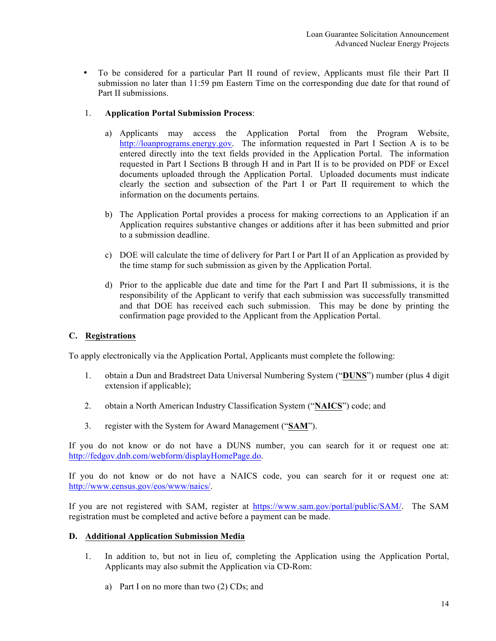• To be considered for a particular Part II round of review, Applicants must file their Part II submission no later than 11:59 pm Eastern Time on the corresponding due date for that round of Part II submissions.

### 1. **Application Portal Submission Process**:

- a) Applicants may access the Application Portal from the Program Website, http://loanprograms.energy.gov. The information requested in Part I Section A is to be entered directly into the text fields provided in the Application Portal. The information requested in Part I Sections B through H and in Part II is to be provided on PDF or Excel documents uploaded through the Application Portal. Uploaded documents must indicate clearly the section and subsection of the Part I or Part II requirement to which the information on the documents pertains.
- b) The Application Portal provides a process for making corrections to an Application if an Application requires substantive changes or additions after it has been submitted and prior to a submission deadline.
- c) DOE will calculate the time of delivery for Part I or Part II of an Application as provided by the time stamp for such submission as given by the Application Portal.
- d) Prior to the applicable due date and time for the Part I and Part II submissions, it is the responsibility of the Applicant to verify that each submission was successfully transmitted and that DOE has received each such submission. This may be done by printing the confirmation page provided to the Applicant from the Application Portal.

#### **C. Registrations**

To apply electronically via the Application Portal, Applicants must complete the following:

- 1. obtain a Dun and Bradstreet Data Universal Numbering System ("**DUNS**") number (plus 4 digit extension if applicable);
- 2. obtain a North American Industry Classification System ("**NAICS**") code; and
- 3. register with the System for Award Management ("**SAM**").

If you do not know or do not have a DUNS number, you can search for it or request one at: http://fedgov.dnb.com/webform/displayHomePage.do.

If you do not know or do not have a NAICS code, you can search for it or request one at: http://www.census.gov/eos/www/naics/.

If you are not registered with SAM, register at https://www.sam.gov/portal/public/SAM/. The SAM registration must be completed and active before a payment can be made.

#### **D. Additional Application Submission Media**

- 1. In addition to, but not in lieu of, completing the Application using the Application Portal, Applicants may also submit the Application via CD-Rom:
	- a) Part I on no more than two (2) CDs; and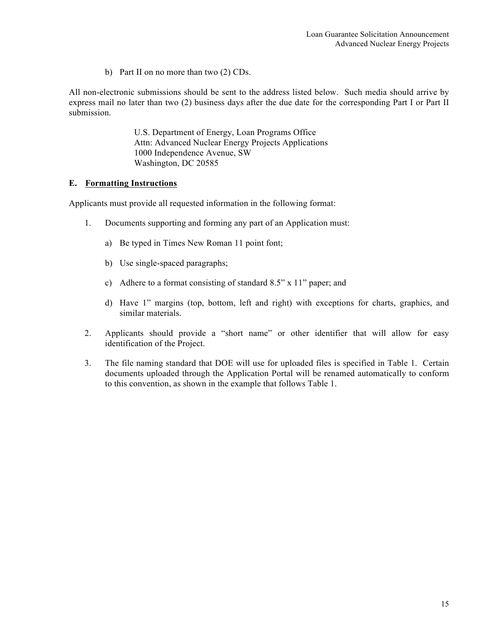b) Part II on no more than two (2) CDs.

All non-electronic submissions should be sent to the address listed below. Such media should arrive by express mail no later than two (2) business days after the due date for the corresponding Part I or Part II submission.

> U.S. Department of Energy, Loan Programs Office Attn: Advanced Nuclear Energy Projects Applications 1000 Independence Avenue, SW Washington, DC 20585

#### **E. Formatting Instructions**

Applicants must provide all requested information in the following format:

- 1. Documents supporting and forming any part of an Application must:
	- a) Be typed in Times New Roman 11 point font;
	- b) Use single-spaced paragraphs;
	- c) Adhere to a format consisting of standard 8.5" x 11" paper; and
	- d) Have 1" margins (top, bottom, left and right) with exceptions for charts, graphics, and similar materials.
- 2. Applicants should provide a "short name" or other identifier that will allow for easy identification of the Project.
- 3. The file naming standard that DOE will use for uploaded files is specified in Table 1. Certain documents uploaded through the Application Portal will be renamed automatically to conform to this convention, as shown in the example that follows Table 1.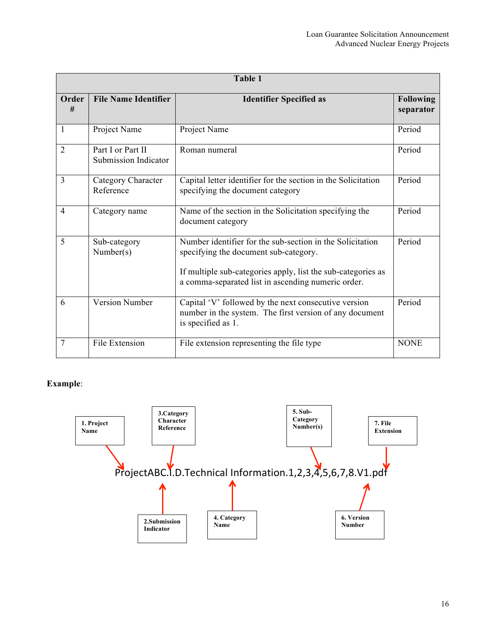| Table 1        |                                           |                                                                                                                                                                                                                          |                               |
|----------------|-------------------------------------------|--------------------------------------------------------------------------------------------------------------------------------------------------------------------------------------------------------------------------|-------------------------------|
| Order<br>#     | <b>File Name Identifier</b>               | <b>Identifier Specified as</b>                                                                                                                                                                                           | <b>Following</b><br>separator |
| $\mathbf{1}$   | Project Name                              | Project Name                                                                                                                                                                                                             | Period                        |
| $\overline{2}$ | Part I or Part II<br>Submission Indicator | Roman numeral                                                                                                                                                                                                            | Period                        |
| 3              | Category Character<br>Reference           | Capital letter identifier for the section in the Solicitation<br>specifying the document category                                                                                                                        | Period                        |
| $\overline{4}$ | Category name                             | Name of the section in the Solicitation specifying the<br>document category                                                                                                                                              | Period                        |
| 5              | Sub-category<br>Number(s)                 | Number identifier for the sub-section in the Solicitation<br>specifying the document sub-category.<br>If multiple sub-categories apply, list the sub-categories as<br>a comma-separated list in ascending numeric order. | Period                        |
| 6              | Version Number                            | Capital 'V' followed by the next consecutive version<br>number in the system. The first version of any document<br>is specified as 1.                                                                                    | Period                        |
| 7              | File Extension                            | File extension representing the file type                                                                                                                                                                                | <b>NONE</b>                   |

# **Example**:

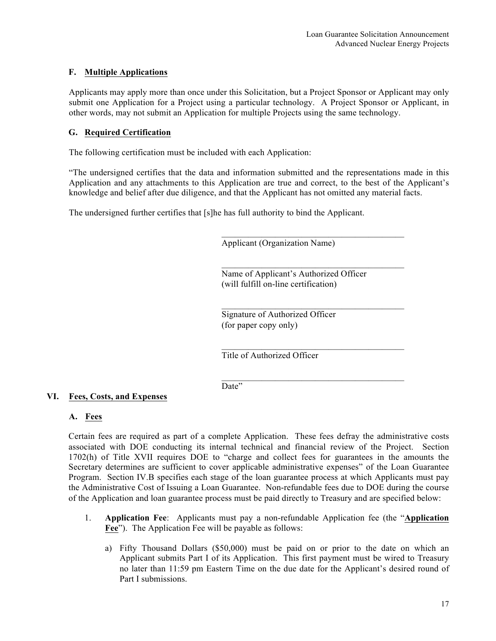#### **F. Multiple Applications**

Applicants may apply more than once under this Solicitation, but a Project Sponsor or Applicant may only submit one Application for a Project using a particular technology. A Project Sponsor or Applicant, in other words, may not submit an Application for multiple Projects using the same technology.

#### **G. Required Certification**

The following certification must be included with each Application:

"The undersigned certifies that the data and information submitted and the representations made in this Application and any attachments to this Application are true and correct, to the best of the Applicant's knowledge and belief after due diligence, and that the Applicant has not omitted any material facts.

The undersigned further certifies that [s]he has full authority to bind the Applicant.

Applicant (Organization Name)

Name of Applicant's Authorized Officer (will fulfill on-line certification)

 $\mathcal{L}_\text{max}$  and the set of the set of the set of the set of the set of the set of the set of the set of the set of the set of the set of the set of the set of the set of the set of the set of the set of the set of the s

 $\mathcal{L}_\text{max}$  and the set of the set of the set of the set of the set of the set of the set of the set of the set of the set of the set of the set of the set of the set of the set of the set of the set of the set of the s

 $\mathcal{L}_\text{max}$  and the set of the set of the set of the set of the set of the set of the set of the set of the set of the set of the set of the set of the set of the set of the set of the set of the set of the set of the s

 $\mathcal{L}_\text{max}$  and the set of the set of the set of the set of the set of the set of the set of the set of the set of the set of the set of the set of the set of the set of the set of the set of the set of the set of the s

Signature of Authorized Officer (for paper copy only)

Title of Authorized Officer

Date"

#### **VI. Fees, Costs, and Expenses**

#### **A. Fees**

Certain fees are required as part of a complete Application. These fees defray the administrative costs associated with DOE conducting its internal technical and financial review of the Project. Section 1702(h) of Title XVII requires DOE to "charge and collect fees for guarantees in the amounts the Secretary determines are sufficient to cover applicable administrative expenses" of the Loan Guarantee Program. Section IV.B specifies each stage of the loan guarantee process at which Applicants must pay the Administrative Cost of Issuing a Loan Guarantee. Non-refundable fees due to DOE during the course of the Application and loan guarantee process must be paid directly to Treasury and are specified below:

- 1. **Application Fee**: Applicants must pay a non-refundable Application fee (the "**Application Fee**"). The Application Fee will be payable as follows:
	- a) Fifty Thousand Dollars (\$50,000) must be paid on or prior to the date on which an Applicant submits Part I of its Application. This first payment must be wired to Treasury no later than 11:59 pm Eastern Time on the due date for the Applicant's desired round of Part I submissions.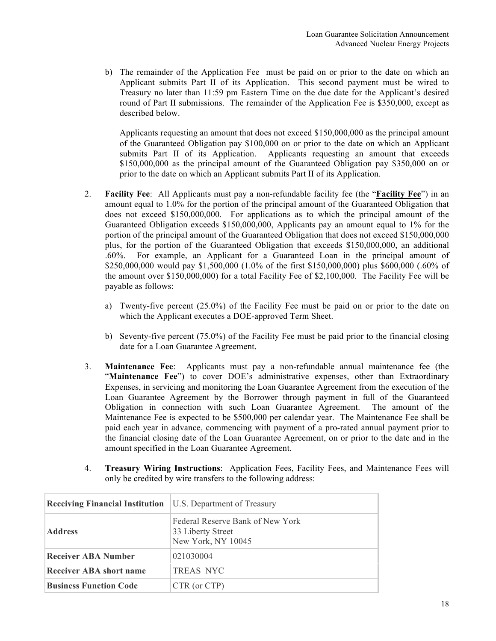b) The remainder of the Application Fee must be paid on or prior to the date on which an Applicant submits Part II of its Application. This second payment must be wired to Treasury no later than 11:59 pm Eastern Time on the due date for the Applicant's desired round of Part II submissions. The remainder of the Application Fee is \$350,000, except as described below.

Applicants requesting an amount that does not exceed \$150,000,000 as the principal amount of the Guaranteed Obligation pay \$100,000 on or prior to the date on which an Applicant submits Part II of its Application. Applicants requesting an amount that exceeds \$150,000,000 as the principal amount of the Guaranteed Obligation pay \$350,000 on or prior to the date on which an Applicant submits Part II of its Application.

- 2. **Facility Fee**: All Applicants must pay a non-refundable facility fee (the "**Facility Fee**") in an amount equal to 1.0% for the portion of the principal amount of the Guaranteed Obligation that does not exceed \$150,000,000. For applications as to which the principal amount of the Guaranteed Obligation exceeds \$150,000,000, Applicants pay an amount equal to 1% for the portion of the principal amount of the Guaranteed Obligation that does not exceed \$150,000,000 plus, for the portion of the Guaranteed Obligation that exceeds \$150,000,000, an additional .60%. For example, an Applicant for a Guaranteed Loan in the principal amount of \$250,000,000 would pay \$1,500,000 (1.0% of the first \$150,000,000) plus \$600,000 (.60% of the amount over \$150,000,000) for a total Facility Fee of \$2,100,000. The Facility Fee will be payable as follows:
	- a) Twenty-five percent (25.0%) of the Facility Fee must be paid on or prior to the date on which the Applicant executes a DOE-approved Term Sheet.
	- b) Seventy-five percent (75.0%) of the Facility Fee must be paid prior to the financial closing date for a Loan Guarantee Agreement.
- 3. **Maintenance Fee**: Applicants must pay a non-refundable annual maintenance fee (the "**Maintenance Fee**") to cover DOE's administrative expenses, other than Extraordinary Expenses, in servicing and monitoring the Loan Guarantee Agreement from the execution of the Loan Guarantee Agreement by the Borrower through payment in full of the Guaranteed Obligation in connection with such Loan Guarantee Agreement. The amount of the Maintenance Fee is expected to be \$500,000 per calendar year. The Maintenance Fee shall be paid each year in advance, commencing with payment of a pro-rated annual payment prior to the financial closing date of the Loan Guarantee Agreement, on or prior to the date and in the amount specified in the Loan Guarantee Agreement.
- 4. **Treasury Wiring Instructions**: Application Fees, Facility Fees, and Maintenance Fees will only be credited by wire transfers to the following address:

| <b>Receiving Financial Institution</b> U.S. Department of Treasury |                                                                             |
|--------------------------------------------------------------------|-----------------------------------------------------------------------------|
| <b>Address</b>                                                     | Federal Reserve Bank of New York<br>33 Liberty Street<br>New York, NY 10045 |
| <b>Receiver ABA Number</b>                                         | 021030004                                                                   |
| <b>Receiver ABA short name</b>                                     | <b>TREAS NYC</b>                                                            |
| <b>Business Function Code</b>                                      | CTR (or CTP)                                                                |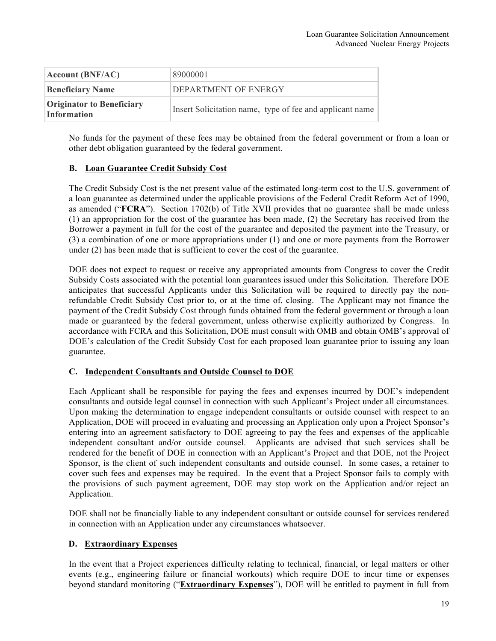| Account(BNF/AC)                                        | 89000001                                                 |
|--------------------------------------------------------|----------------------------------------------------------|
| <b>Beneficiary Name</b>                                | DEPARTMENT OF ENERGY                                     |
| <b>Originator to Beneficiary</b><br><b>Information</b> | Insert Solicitation name, type of fee and applicant name |

No funds for the payment of these fees may be obtained from the federal government or from a loan or other debt obligation guaranteed by the federal government.

#### **B. Loan Guarantee Credit Subsidy Cost**

The Credit Subsidy Cost is the net present value of the estimated long-term cost to the U.S. government of a loan guarantee as determined under the applicable provisions of the Federal Credit Reform Act of 1990, as amended ("**FCRA**"). Section 1702(b) of Title XVII provides that no guarantee shall be made unless (1) an appropriation for the cost of the guarantee has been made, (2) the Secretary has received from the Borrower a payment in full for the cost of the guarantee and deposited the payment into the Treasury, or (3) a combination of one or more appropriations under (1) and one or more payments from the Borrower under (2) has been made that is sufficient to cover the cost of the guarantee.

DOE does not expect to request or receive any appropriated amounts from Congress to cover the Credit Subsidy Costs associated with the potential loan guarantees issued under this Solicitation. Therefore DOE anticipates that successful Applicants under this Solicitation will be required to directly pay the nonrefundable Credit Subsidy Cost prior to, or at the time of, closing. The Applicant may not finance the payment of the Credit Subsidy Cost through funds obtained from the federal government or through a loan made or guaranteed by the federal government, unless otherwise explicitly authorized by Congress. In accordance with FCRA and this Solicitation, DOE must consult with OMB and obtain OMB's approval of DOE's calculation of the Credit Subsidy Cost for each proposed loan guarantee prior to issuing any loan guarantee.

#### **C. Independent Consultants and Outside Counsel to DOE**

Each Applicant shall be responsible for paying the fees and expenses incurred by DOE's independent consultants and outside legal counsel in connection with such Applicant's Project under all circumstances. Upon making the determination to engage independent consultants or outside counsel with respect to an Application, DOE will proceed in evaluating and processing an Application only upon a Project Sponsor's entering into an agreement satisfactory to DOE agreeing to pay the fees and expenses of the applicable independent consultant and/or outside counsel. Applicants are advised that such services shall be rendered for the benefit of DOE in connection with an Applicant's Project and that DOE, not the Project Sponsor, is the client of such independent consultants and outside counsel. In some cases, a retainer to cover such fees and expenses may be required. In the event that a Project Sponsor fails to comply with the provisions of such payment agreement, DOE may stop work on the Application and/or reject an Application.

DOE shall not be financially liable to any independent consultant or outside counsel for services rendered in connection with an Application under any circumstances whatsoever.

#### **D. Extraordinary Expenses**

In the event that a Project experiences difficulty relating to technical, financial, or legal matters or other events (e.g., engineering failure or financial workouts) which require DOE to incur time or expenses beyond standard monitoring ("**Extraordinary Expenses**"), DOE will be entitled to payment in full from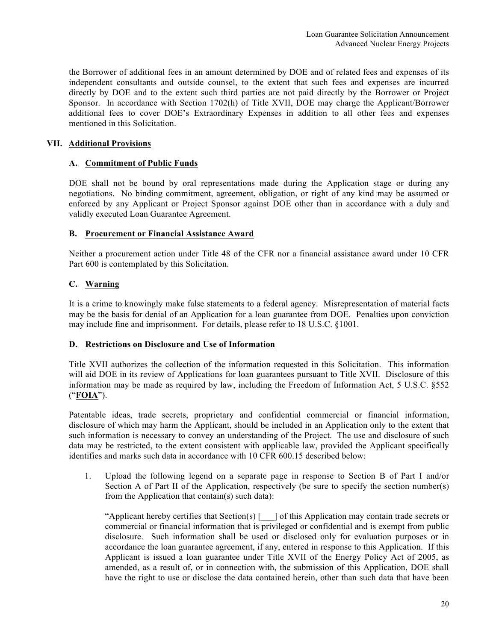the Borrower of additional fees in an amount determined by DOE and of related fees and expenses of its independent consultants and outside counsel, to the extent that such fees and expenses are incurred directly by DOE and to the extent such third parties are not paid directly by the Borrower or Project Sponsor. In accordance with Section 1702(h) of Title XVII, DOE may charge the Applicant/Borrower additional fees to cover DOE's Extraordinary Expenses in addition to all other fees and expenses mentioned in this Solicitation.

#### **VII. Additional Provisions**

#### **A. Commitment of Public Funds**

DOE shall not be bound by oral representations made during the Application stage or during any negotiations. No binding commitment, agreement, obligation, or right of any kind may be assumed or enforced by any Applicant or Project Sponsor against DOE other than in accordance with a duly and validly executed Loan Guarantee Agreement.

#### **B. Procurement or Financial Assistance Award**

Neither a procurement action under Title 48 of the CFR nor a financial assistance award under 10 CFR Part 600 is contemplated by this Solicitation.

#### **C. Warning**

It is a crime to knowingly make false statements to a federal agency. Misrepresentation of material facts may be the basis for denial of an Application for a loan guarantee from DOE. Penalties upon conviction may include fine and imprisonment. For details, please refer to 18 U.S.C. §1001.

#### **D. Restrictions on Disclosure and Use of Information**

Title XVII authorizes the collection of the information requested in this Solicitation. This information will aid DOE in its review of Applications for loan guarantees pursuant to Title XVII. Disclosure of this information may be made as required by law, including the Freedom of Information Act, 5 U.S.C. §552 ("**FOIA**").

Patentable ideas, trade secrets, proprietary and confidential commercial or financial information, disclosure of which may harm the Applicant, should be included in an Application only to the extent that such information is necessary to convey an understanding of the Project. The use and disclosure of such data may be restricted, to the extent consistent with applicable law, provided the Applicant specifically identifies and marks such data in accordance with 10 CFR 600.15 described below:

1. Upload the following legend on a separate page in response to Section B of Part I and/or Section A of Part II of the Application, respectively (be sure to specify the section number(s) from the Application that contain(s) such data):

"Applicant hereby certifies that Section(s) [\_\_\_] of this Application may contain trade secrets or commercial or financial information that is privileged or confidential and is exempt from public disclosure. Such information shall be used or disclosed only for evaluation purposes or in accordance the loan guarantee agreement, if any, entered in response to this Application. If this Applicant is issued a loan guarantee under Title XVII of the Energy Policy Act of 2005, as amended, as a result of, or in connection with, the submission of this Application, DOE shall have the right to use or disclose the data contained herein, other than such data that have been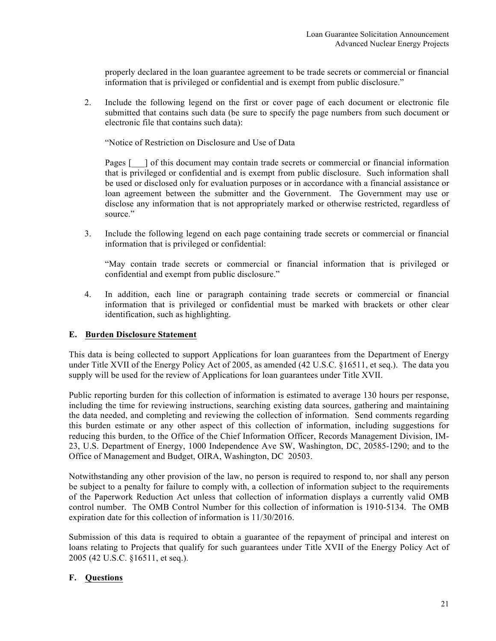properly declared in the loan guarantee agreement to be trade secrets or commercial or financial information that is privileged or confidential and is exempt from public disclosure."

2. Include the following legend on the first or cover page of each document or electronic file submitted that contains such data (be sure to specify the page numbers from such document or electronic file that contains such data):

"Notice of Restriction on Disclosure and Use of Data

Pages  $\lceil \cdot \rceil$  of this document may contain trade secrets or commercial or financial information that is privileged or confidential and is exempt from public disclosure. Such information shall be used or disclosed only for evaluation purposes or in accordance with a financial assistance or loan agreement between the submitter and the Government. The Government may use or disclose any information that is not appropriately marked or otherwise restricted, regardless of source."

3. Include the following legend on each page containing trade secrets or commercial or financial information that is privileged or confidential:

"May contain trade secrets or commercial or financial information that is privileged or confidential and exempt from public disclosure."

4. In addition, each line or paragraph containing trade secrets or commercial or financial information that is privileged or confidential must be marked with brackets or other clear identification, such as highlighting.

#### **E. Burden Disclosure Statement**

This data is being collected to support Applications for loan guarantees from the Department of Energy under Title XVII of the Energy Policy Act of 2005, as amended (42 U.S.C. §16511, et seq.). The data you supply will be used for the review of Applications for loan guarantees under Title XVII.

Public reporting burden for this collection of information is estimated to average 130 hours per response, including the time for reviewing instructions, searching existing data sources, gathering and maintaining the data needed, and completing and reviewing the collection of information. Send comments regarding this burden estimate or any other aspect of this collection of information, including suggestions for reducing this burden, to the Office of the Chief Information Officer, Records Management Division, IM-23, U.S. Department of Energy, 1000 Independence Ave SW, Washington, DC, 20585-1290; and to the Office of Management and Budget, OIRA, Washington, DC 20503.

Notwithstanding any other provision of the law, no person is required to respond to, nor shall any person be subject to a penalty for failure to comply with, a collection of information subject to the requirements of the Paperwork Reduction Act unless that collection of information displays a currently valid OMB control number. The OMB Control Number for this collection of information is 1910-5134. The OMB expiration date for this collection of information is 11/30/2016.

Submission of this data is required to obtain a guarantee of the repayment of principal and interest on loans relating to Projects that qualify for such guarantees under Title XVII of the Energy Policy Act of 2005 (42 U.S.C. §16511, et seq.).

#### **F. Questions**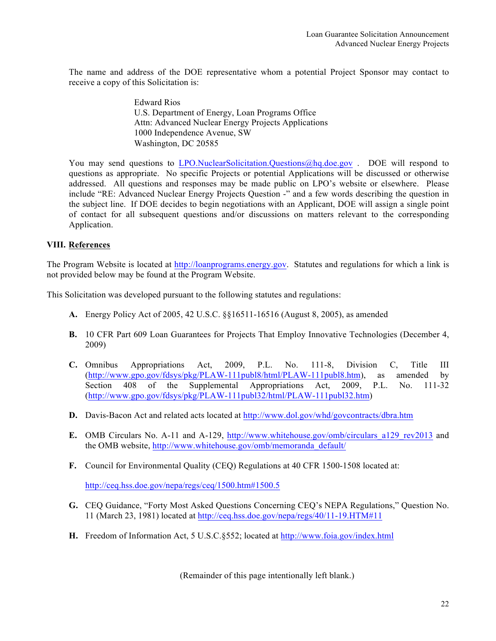The name and address of the DOE representative whom a potential Project Sponsor may contact to receive a copy of this Solicitation is:

> Edward Rios U.S. Department of Energy, Loan Programs Office Attn: Advanced Nuclear Energy Projects Applications 1000 Independence Avenue, SW Washington, DC 20585

You may send questions to LPO.NuclearSolicitation.Questions@hq.doe.gov . DOE will respond to questions as appropriate. No specific Projects or potential Applications will be discussed or otherwise addressed. All questions and responses may be made public on LPO's website or elsewhere. Please include "RE: Advanced Nuclear Energy Projects Question -" and a few words describing the question in the subject line. If DOE decides to begin negotiations with an Applicant, DOE will assign a single point of contact for all subsequent questions and/or discussions on matters relevant to the corresponding Application.

# **VIII. References**

The Program Website is located at http://loanprograms.energy.gov. Statutes and regulations for which a link is not provided below may be found at the Program Website.

This Solicitation was developed pursuant to the following statutes and regulations:

- **A.** Energy Policy Act of 2005, 42 U.S.C. §§16511-16516 (August 8, 2005), as amended
- **B.** 10 CFR Part 609 Loan Guarantees for Projects That Employ Innovative Technologies (December 4, 2009)
- **C.** Omnibus Appropriations Act, 2009, P.L. No. 111-8, Division C, Title III (http://www.gpo.gov/fdsys/pkg/PLAW-111publ8/html/PLAW-111publ8.htm), as amended by Section 408 of the Supplemental Appropriations Act, 2009, P.L. No. 111-32 (http://www.gpo.gov/fdsys/pkg/PLAW-111publ32/html/PLAW-111publ32.htm)
- **D.** Davis-Bacon Act and related acts located at http://www.dol.gov/whd/govcontracts/dbra.htm
- **E.** OMB Circulars No. A-11 and A-129, http://www.whitehouse.gov/omb/circulars\_a129\_rev2013 and the OMB website, http://www.whitehouse.gov/omb/memoranda\_default/
- **F.** Council for Environmental Quality (CEQ) Regulations at 40 CFR 1500-1508 located at:

http://ceq.hss.doe.gov/nepa/regs/ceq/1500.htm#1500.5

- **G.** CEQ Guidance, "Forty Most Asked Questions Concerning CEQ's NEPA Regulations," Question No. 11 (March 23, 1981) located at http://ceq.hss.doe.gov/nepa/regs/40/11-19.HTM#11
- **H.** Freedom of Information Act, 5 U.S.C.§552; located at http://www.foia.gov/index.html

(Remainder of this page intentionally left blank.)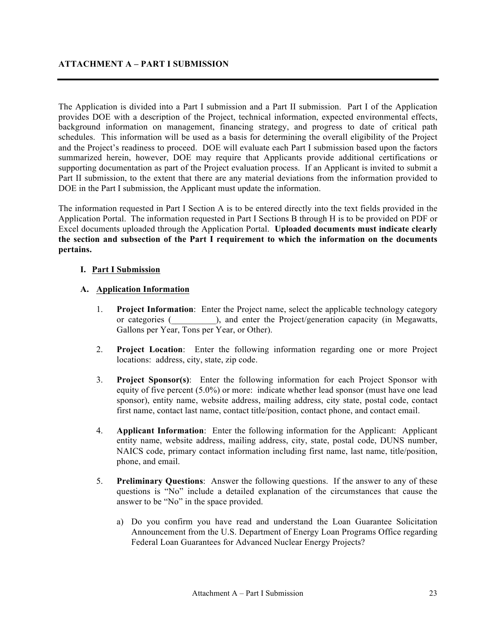The Application is divided into a Part I submission and a Part II submission. Part I of the Application provides DOE with a description of the Project, technical information, expected environmental effects, background information on management, financing strategy, and progress to date of critical path schedules. This information will be used as a basis for determining the overall eligibility of the Project and the Project's readiness to proceed. DOE will evaluate each Part I submission based upon the factors summarized herein, however, DOE may require that Applicants provide additional certifications or supporting documentation as part of the Project evaluation process. If an Applicant is invited to submit a Part II submission, to the extent that there are any material deviations from the information provided to DOE in the Part I submission, the Applicant must update the information.

The information requested in Part I Section A is to be entered directly into the text fields provided in the Application Portal. The information requested in Part I Sections B through H is to be provided on PDF or Excel documents uploaded through the Application Portal. **Uploaded documents must indicate clearly the section and subsection of the Part I requirement to which the information on the documents pertains.** 

#### **I. Part I Submission**

# **A. Application Information**

- 1. **Project Information**: Enter the Project name, select the applicable technology category or categories (\_\_\_\_\_\_\_\_\_\_), and enter the Project/generation capacity (in Megawatts, Gallons per Year, Tons per Year, or Other).
- 2. **Project Location**: Enter the following information regarding one or more Project locations: address, city, state, zip code.
- 3. **Project Sponsor(s)**: Enter the following information for each Project Sponsor with equity of five percent (5.0%) or more: indicate whether lead sponsor (must have one lead sponsor), entity name, website address, mailing address, city state, postal code, contact first name, contact last name, contact title/position, contact phone, and contact email.
- 4. **Applicant Information**: Enter the following information for the Applicant: Applicant entity name, website address, mailing address, city, state, postal code, DUNS number, NAICS code, primary contact information including first name, last name, title/position, phone, and email.
- 5. **Preliminary Questions**: Answer the following questions. If the answer to any of these questions is "No" include a detailed explanation of the circumstances that cause the answer to be "No" in the space provided.
	- a) Do you confirm you have read and understand the Loan Guarantee Solicitation Announcement from the U.S. Department of Energy Loan Programs Office regarding Federal Loan Guarantees for Advanced Nuclear Energy Projects?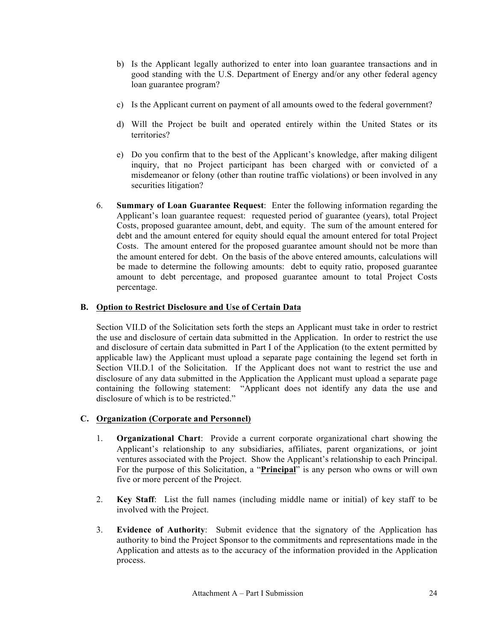- b) Is the Applicant legally authorized to enter into loan guarantee transactions and in good standing with the U.S. Department of Energy and/or any other federal agency loan guarantee program?
- c) Is the Applicant current on payment of all amounts owed to the federal government?
- d) Will the Project be built and operated entirely within the United States or its territories?
- e) Do you confirm that to the best of the Applicant's knowledge, after making diligent inquiry, that no Project participant has been charged with or convicted of a misdemeanor or felony (other than routine traffic violations) or been involved in any securities litigation?
- 6. **Summary of Loan Guarantee Request**: Enter the following information regarding the Applicant's loan guarantee request: requested period of guarantee (years), total Project Costs, proposed guarantee amount, debt, and equity. The sum of the amount entered for debt and the amount entered for equity should equal the amount entered for total Project Costs. The amount entered for the proposed guarantee amount should not be more than the amount entered for debt. On the basis of the above entered amounts, calculations will be made to determine the following amounts: debt to equity ratio, proposed guarantee amount to debt percentage, and proposed guarantee amount to total Project Costs percentage.

# **B. Option to Restrict Disclosure and Use of Certain Data**

Section VII.D of the Solicitation sets forth the steps an Applicant must take in order to restrict the use and disclosure of certain data submitted in the Application. In order to restrict the use and disclosure of certain data submitted in Part I of the Application (to the extent permitted by applicable law) the Applicant must upload a separate page containing the legend set forth in Section VII.D.1 of the Solicitation. If the Applicant does not want to restrict the use and disclosure of any data submitted in the Application the Applicant must upload a separate page containing the following statement: "Applicant does not identify any data the use and disclosure of which is to be restricted."

# **C. Organization (Corporate and Personnel)**

- 1. **Organizational Chart**: Provide a current corporate organizational chart showing the Applicant's relationship to any subsidiaries, affiliates, parent organizations, or joint ventures associated with the Project. Show the Applicant's relationship to each Principal. For the purpose of this Solicitation, a "**Principal**" is any person who owns or will own five or more percent of the Project.
- 2. **Key Staff**: List the full names (including middle name or initial) of key staff to be involved with the Project.
- 3. **Evidence of Authority**: Submit evidence that the signatory of the Application has authority to bind the Project Sponsor to the commitments and representations made in the Application and attests as to the accuracy of the information provided in the Application process.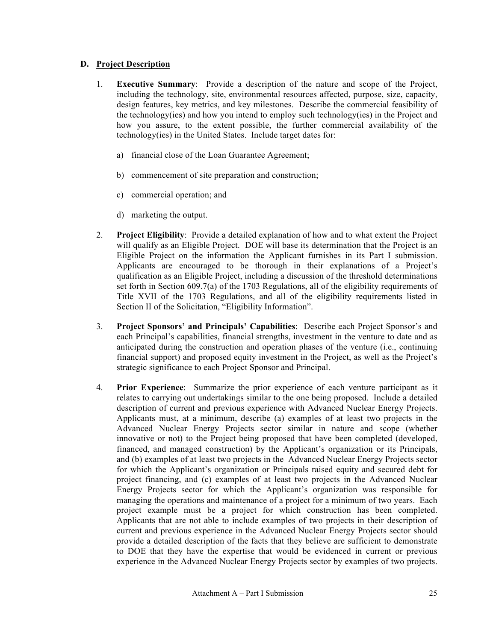# **D. Project Description**

- 1. **Executive Summary**: Provide a description of the nature and scope of the Project, including the technology, site, environmental resources affected, purpose, size, capacity, design features, key metrics, and key milestones. Describe the commercial feasibility of the technology(ies) and how you intend to employ such technology(ies) in the Project and how you assure, to the extent possible, the further commercial availability of the technology(ies) in the United States. Include target dates for:
	- a) financial close of the Loan Guarantee Agreement;
	- b) commencement of site preparation and construction;
	- c) commercial operation; and
	- d) marketing the output.
- 2. **Project Eligibility**: Provide a detailed explanation of how and to what extent the Project will qualify as an Eligible Project. DOE will base its determination that the Project is an Eligible Project on the information the Applicant furnishes in its Part I submission. Applicants are encouraged to be thorough in their explanations of a Project's qualification as an Eligible Project, including a discussion of the threshold determinations set forth in Section 609.7(a) of the 1703 Regulations, all of the eligibility requirements of Title XVII of the 1703 Regulations, and all of the eligibility requirements listed in Section II of the Solicitation, "Eligibility Information".
- 3. **Project Sponsors' and Principals' Capabilities**: Describe each Project Sponsor's and each Principal's capabilities, financial strengths, investment in the venture to date and as anticipated during the construction and operation phases of the venture (i.e., continuing financial support) and proposed equity investment in the Project, as well as the Project's strategic significance to each Project Sponsor and Principal.
- 4. **Prior Experience**: Summarize the prior experience of each venture participant as it relates to carrying out undertakings similar to the one being proposed. Include a detailed description of current and previous experience with Advanced Nuclear Energy Projects. Applicants must, at a minimum, describe (a) examples of at least two projects in the Advanced Nuclear Energy Projects sector similar in nature and scope (whether innovative or not) to the Project being proposed that have been completed (developed, financed, and managed construction) by the Applicant's organization or its Principals, and (b) examples of at least two projects in the Advanced Nuclear Energy Projects sector for which the Applicant's organization or Principals raised equity and secured debt for project financing, and (c) examples of at least two projects in the Advanced Nuclear Energy Projects sector for which the Applicant's organization was responsible for managing the operations and maintenance of a project for a minimum of two years. Each project example must be a project for which construction has been completed. Applicants that are not able to include examples of two projects in their description of current and previous experience in the Advanced Nuclear Energy Projects sector should provide a detailed description of the facts that they believe are sufficient to demonstrate to DOE that they have the expertise that would be evidenced in current or previous experience in the Advanced Nuclear Energy Projects sector by examples of two projects.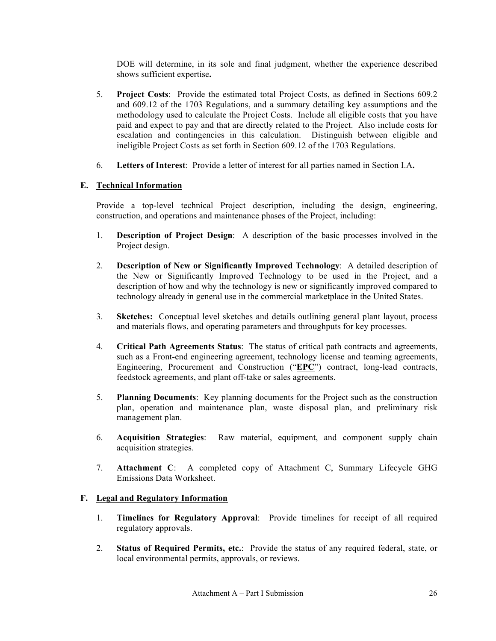DOE will determine, in its sole and final judgment, whether the experience described shows sufficient expertise**.**

- 5. **Project Costs**: Provide the estimated total Project Costs, as defined in Sections 609.2 and 609.12 of the 1703 Regulations, and a summary detailing key assumptions and the methodology used to calculate the Project Costs. Include all eligible costs that you have paid and expect to pay and that are directly related to the Project. Also include costs for escalation and contingencies in this calculation. Distinguish between eligible and ineligible Project Costs as set forth in Section 609.12 of the 1703 Regulations.
- 6. **Letters of Interest**: Provide a letter of interest for all parties named in Section I.A**.**

# **E. Technical Information**

Provide a top-level technical Project description, including the design, engineering, construction, and operations and maintenance phases of the Project, including:

- 1. **Description of Project Design**:A description of the basic processes involved in the Project design.
- 2. **Description of New or Significantly Improved Technology**:A detailed description of the New or Significantly Improved Technology to be used in the Project, and a description of how and why the technology is new or significantly improved compared to technology already in general use in the commercial marketplace in the United States.
- 3. **Sketches:** Conceptual level sketches and details outlining general plant layout, process and materials flows, and operating parameters and throughputs for key processes.
- 4. **Critical Path Agreements Status**: The status of critical path contracts and agreements, such as a Front-end engineering agreement, technology license and teaming agreements, Engineering, Procurement and Construction ("**EPC**") contract, long-lead contracts, feedstock agreements, and plant off-take or sales agreements.
- 5. **Planning Documents**:Key planning documents for the Project such as the construction plan, operation and maintenance plan, waste disposal plan, and preliminary risk management plan.
- 6. **Acquisition Strategies**:Raw material, equipment, and component supply chain acquisition strategies.
- 7. **Attachment C**: A completed copy of Attachment C, Summary Lifecycle GHG Emissions Data Worksheet.

# **F. Legal and Regulatory Information**

- 1. **Timelines for Regulatory Approval**:Provide timelines for receipt of all required regulatory approvals.
- 2. **Status of Required Permits, etc.**:Provide the status of any required federal, state, or local environmental permits, approvals, or reviews.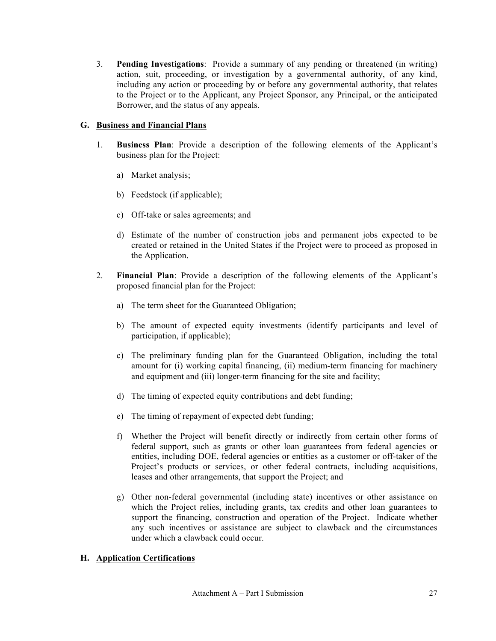3. **Pending Investigations**:Provide a summary of any pending or threatened (in writing) action, suit, proceeding, or investigation by a governmental authority, of any kind, including any action or proceeding by or before any governmental authority, that relates to the Project or to the Applicant, any Project Sponsor, any Principal, or the anticipated Borrower, and the status of any appeals.

# **G. Business and Financial Plans**

- 1. **Business Plan**: Provide a description of the following elements of the Applicant's business plan for the Project:
	- a) Market analysis;
	- b) Feedstock (if applicable);
	- c) Off-take or sales agreements; and
	- d) Estimate of the number of construction jobs and permanent jobs expected to be created or retained in the United States if the Project were to proceed as proposed in the Application.
- 2. **Financial Plan**: Provide a description of the following elements of the Applicant's proposed financial plan for the Project:
	- a) The term sheet for the Guaranteed Obligation;
	- b) The amount of expected equity investments (identify participants and level of participation, if applicable);
	- c) The preliminary funding plan for the Guaranteed Obligation, including the total amount for (i) working capital financing, (ii) medium-term financing for machinery and equipment and (iii) longer-term financing for the site and facility;
	- d) The timing of expected equity contributions and debt funding;
	- e) The timing of repayment of expected debt funding;
	- f) Whether the Project will benefit directly or indirectly from certain other forms of federal support, such as grants or other loan guarantees from federal agencies or entities, including DOE, federal agencies or entities as a customer or off-taker of the Project's products or services, or other federal contracts, including acquisitions, leases and other arrangements, that support the Project; and
	- g) Other non-federal governmental (including state) incentives or other assistance on which the Project relies, including grants, tax credits and other loan guarantees to support the financing, construction and operation of the Project. Indicate whether any such incentives or assistance are subject to clawback and the circumstances under which a clawback could occur.

# **H. Application Certifications**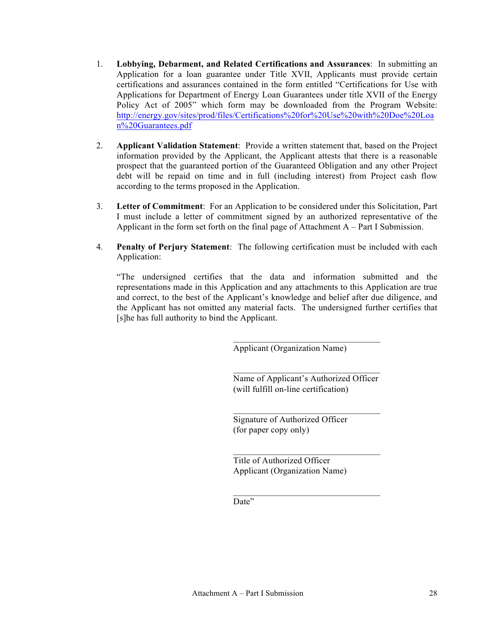- 1. **Lobbying, Debarment, and Related Certifications and Assurances**: In submitting an Application for a loan guarantee under Title XVII, Applicants must provide certain certifications and assurances contained in the form entitled "Certifications for Use with Applications for Department of Energy Loan Guarantees under title XVII of the Energy Policy Act of 2005" which form may be downloaded from the Program Website: http://energy.gov/sites/prod/files/Certifications%20for%20Use%20with%20Doe%20Loa n%20Guarantees.pdf
- 2. **Applicant Validation Statement**: Provide a written statement that, based on the Project information provided by the Applicant, the Applicant attests that there is a reasonable prospect that the guaranteed portion of the Guaranteed Obligation and any other Project debt will be repaid on time and in full (including interest) from Project cash flow according to the terms proposed in the Application.
- 3. **Letter of Commitment**: For an Application to be considered under this Solicitation, Part I must include a letter of commitment signed by an authorized representative of the Applicant in the form set forth on the final page of Attachment A – Part I Submission.
- 4. **Penalty of Perjury Statement**:The following certification must be included with each Application:

"The undersigned certifies that the data and information submitted and the representations made in this Application and any attachments to this Application are true and correct, to the best of the Applicant's knowledge and belief after due diligence, and the Applicant has not omitted any material facts. The undersigned further certifies that [s]he has full authority to bind the Applicant.

Applicant (Organization Name)

 $\mathcal{L}_\text{max}$  and  $\mathcal{L}_\text{max}$  and  $\mathcal{L}_\text{max}$  and  $\mathcal{L}_\text{max}$ Name of Applicant's Authorized Officer (will fulfill on-line certification)

 $\mathcal{L}_\text{max}$  and  $\mathcal{L}_\text{max}$  and  $\mathcal{L}_\text{max}$  and  $\mathcal{L}_\text{max}$ 

 $\overline{\phantom{a}}$  , where  $\overline{\phantom{a}}$  , where  $\overline{\phantom{a}}$  , where  $\overline{\phantom{a}}$ 

 $\overline{\phantom{a}}$  , where  $\overline{\phantom{a}}$  , where  $\overline{\phantom{a}}$  , where  $\overline{\phantom{a}}$ 

 $\mathcal{L}_\text{max}$  and  $\mathcal{L}_\text{max}$  and  $\mathcal{L}_\text{max}$  and  $\mathcal{L}_\text{max}$ 

Signature of Authorized Officer (for paper copy only)

Title of Authorized Officer Applicant (Organization Name)

Date"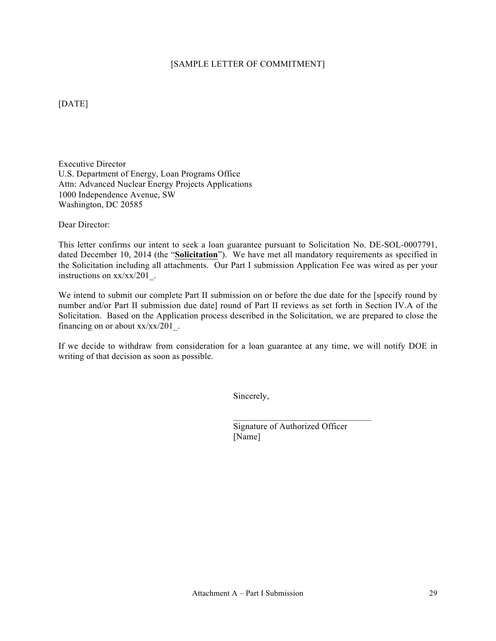#### [SAMPLE LETTER OF COMMITMENT]

[DATE]

Executive Director U.S. Department of Energy, Loan Programs Office Attn: Advanced Nuclear Energy Projects Applications 1000 Independence Avenue, SW Washington, DC 20585

Dear Director:

This letter confirms our intent to seek a loan guarantee pursuant to Solicitation No. DE-SOL-0007791, dated December 10, 2014 (the "**Solicitation**"). We have met all mandatory requirements as specified in the Solicitation including all attachments. Our Part I submission Application Fee was wired as per your instructions on xx/xx/201\_.

We intend to submit our complete Part II submission on or before the due date for the [specify round by number and/or Part II submission due date] round of Part II reviews as set forth in Section IV.A of the Solicitation. Based on the Application process described in the Solicitation, we are prepared to close the financing on or about  $xx/xx/201$ .

If we decide to withdraw from consideration for a loan guarantee at any time, we will notify DOE in writing of that decision as soon as possible.

Sincerely,

Signature of Authorized Officer [Name]

 $\mathcal{L}_\text{max}$  and  $\mathcal{L}_\text{max}$  and  $\mathcal{L}_\text{max}$  and  $\mathcal{L}_\text{max}$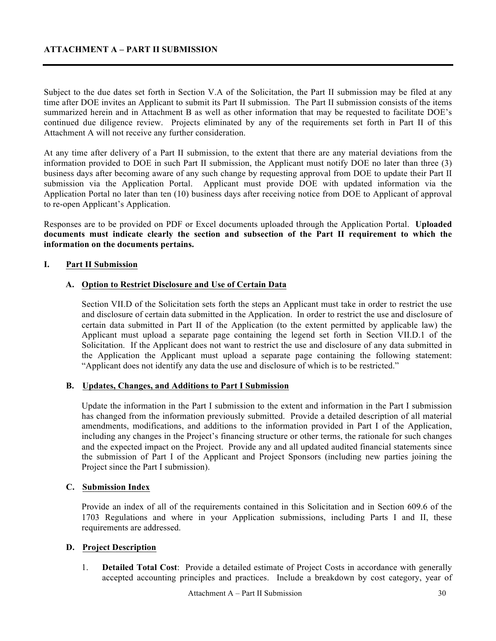Subject to the due dates set forth in Section V.A of the Solicitation, the Part II submission may be filed at any time after DOE invites an Applicant to submit its Part II submission. The Part II submission consists of the items summarized herein and in Attachment B as well as other information that may be requested to facilitate DOE's continued due diligence review. Projects eliminated by any of the requirements set forth in Part II of this Attachment A will not receive any further consideration.

At any time after delivery of a Part II submission, to the extent that there are any material deviations from the information provided to DOE in such Part II submission, the Applicant must notify DOE no later than three (3) business days after becoming aware of any such change by requesting approval from DOE to update their Part II submission via the Application Portal. Applicant must provide DOE with updated information via the Application Portal no later than ten (10) business days after receiving notice from DOE to Applicant of approval to re-open Applicant's Application.

Responses are to be provided on PDF or Excel documents uploaded through the Application Portal. **Uploaded documents must indicate clearly the section and subsection of the Part II requirement to which the information on the documents pertains.**

#### **I. Part II Submission**

#### **A. Option to Restrict Disclosure and Use of Certain Data**

Section VII.D of the Solicitation sets forth the steps an Applicant must take in order to restrict the use and disclosure of certain data submitted in the Application. In order to restrict the use and disclosure of certain data submitted in Part II of the Application (to the extent permitted by applicable law) the Applicant must upload a separate page containing the legend set forth in Section VII.D.1 of the Solicitation. If the Applicant does not want to restrict the use and disclosure of any data submitted in the Application the Applicant must upload a separate page containing the following statement: "Applicant does not identify any data the use and disclosure of which is to be restricted."

#### **B. Updates, Changes, and Additions to Part I Submission**

Update the information in the Part I submission to the extent and information in the Part I submission has changed from the information previously submitted. Provide a detailed description of all material amendments, modifications, and additions to the information provided in Part I of the Application, including any changes in the Project's financing structure or other terms, the rationale for such changes and the expected impact on the Project. Provide any and all updated audited financial statements since the submission of Part I of the Applicant and Project Sponsors (including new parties joining the Project since the Part I submission).

#### **C. Submission Index**

Provide an index of all of the requirements contained in this Solicitation and in Section 609.6 of the 1703 Regulations and where in your Application submissions, including Parts I and II, these requirements are addressed.

#### **D. Project Description**

1. **Detailed Total Cost**: Provide a detailed estimate of Project Costs in accordance with generally accepted accounting principles and practices. Include a breakdown by cost category, year of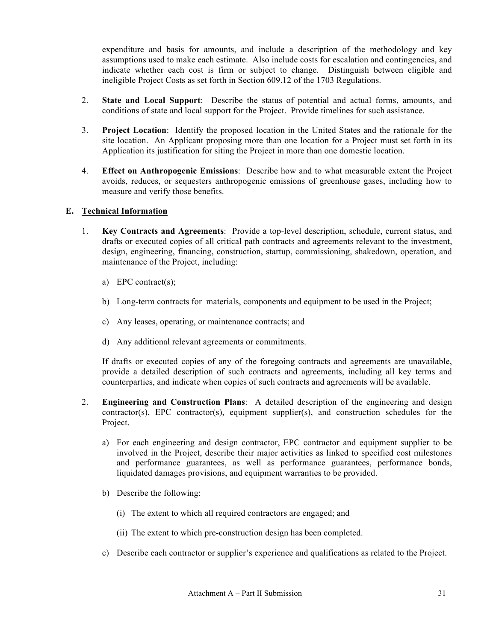expenditure and basis for amounts, and include a description of the methodology and key assumptions used to make each estimate. Also include costs for escalation and contingencies, and indicate whether each cost is firm or subject to change. Distinguish between eligible and ineligible Project Costs as set forth in Section 609.12 of the 1703 Regulations.

- 2. **State and Local Support**:Describe the status of potential and actual forms, amounts, and conditions of state and local support for the Project. Provide timelines for such assistance.
- 3. **Project Location**: Identify the proposed location in the United States and the rationale for the site location. An Applicant proposing more than one location for a Project must set forth in its Application its justification for siting the Project in more than one domestic location.
- 4. **Effect on Anthropogenic Emissions**:Describe how and to what measurable extent the Project avoids, reduces, or sequesters anthropogenic emissions of greenhouse gases, including how to measure and verify those benefits.

# **E. Technical Information**

- 1. **Key Contracts and Agreements**: Provide a top-level description, schedule, current status, and drafts or executed copies of all critical path contracts and agreements relevant to the investment, design, engineering, financing, construction, startup, commissioning, shakedown, operation, and maintenance of the Project, including:
	- a) EPC contract(s);
	- b) Long-term contracts for materials, components and equipment to be used in the Project;
	- c) Any leases, operating, or maintenance contracts; and
	- d) Any additional relevant agreements or commitments.

If drafts or executed copies of any of the foregoing contracts and agreements are unavailable, provide a detailed description of such contracts and agreements, including all key terms and counterparties, and indicate when copies of such contracts and agreements will be available.

- 2. **Engineering and Construction Plans**: A detailed description of the engineering and design contractor(s), EPC contractor(s), equipment supplier(s), and construction schedules for the Project.
	- a) For each engineering and design contractor, EPC contractor and equipment supplier to be involved in the Project, describe their major activities as linked to specified cost milestones and performance guarantees, as well as performance guarantees, performance bonds, liquidated damages provisions, and equipment warranties to be provided.
	- b) Describe the following:
		- (i) The extent to which all required contractors are engaged; and
		- (ii) The extent to which pre-construction design has been completed.
	- c) Describe each contractor or supplier's experience and qualifications as related to the Project.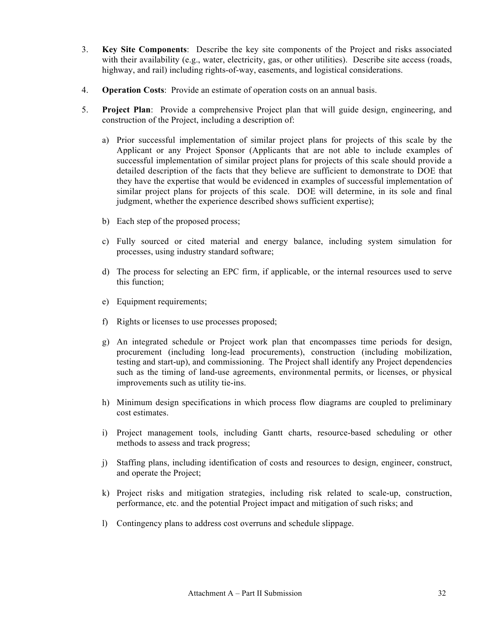- 3. **Key Site Components**:Describe the key site components of the Project and risks associated with their availability (e.g., water, electricity, gas, or other utilities). Describe site access (roads, highway, and rail) including rights-of-way, easements, and logistical considerations.
- 4. **Operation Costs**: Provide an estimate of operation costs on an annual basis.
- 5. **Project Plan**: Provide a comprehensive Project plan that will guide design, engineering, and construction of the Project, including a description of:
	- a) Prior successful implementation of similar project plans for projects of this scale by the Applicant or any Project Sponsor (Applicants that are not able to include examples of successful implementation of similar project plans for projects of this scale should provide a detailed description of the facts that they believe are sufficient to demonstrate to DOE that they have the expertise that would be evidenced in examples of successful implementation of similar project plans for projects of this scale. DOE will determine, in its sole and final judgment, whether the experience described shows sufficient expertise);
	- b) Each step of the proposed process;
	- c) Fully sourced or cited material and energy balance, including system simulation for processes, using industry standard software;
	- d) The process for selecting an EPC firm, if applicable, or the internal resources used to serve this function;
	- e) Equipment requirements;
	- f) Rights or licenses to use processes proposed;
	- g) An integrated schedule or Project work plan that encompasses time periods for design, procurement (including long-lead procurements), construction (including mobilization, testing and start-up), and commissioning. The Project shall identify any Project dependencies such as the timing of land-use agreements, environmental permits, or licenses, or physical improvements such as utility tie-ins.
	- h) Minimum design specifications in which process flow diagrams are coupled to preliminary cost estimates.
	- i) Project management tools, including Gantt charts, resource-based scheduling or other methods to assess and track progress;
	- j) Staffing plans, including identification of costs and resources to design, engineer, construct, and operate the Project;
	- k) Project risks and mitigation strategies, including risk related to scale-up, construction, performance, etc. and the potential Project impact and mitigation of such risks; and
	- l) Contingency plans to address cost overruns and schedule slippage.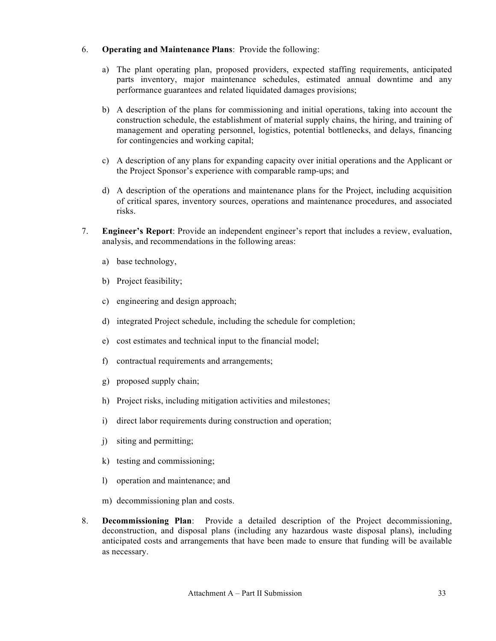### 6. **Operating and Maintenance Plans**: Provide the following:

- a) The plant operating plan, proposed providers, expected staffing requirements, anticipated parts inventory, major maintenance schedules, estimated annual downtime and any performance guarantees and related liquidated damages provisions;
- b) A description of the plans for commissioning and initial operations, taking into account the construction schedule, the establishment of material supply chains, the hiring, and training of management and operating personnel, logistics, potential bottlenecks, and delays, financing for contingencies and working capital;
- c) A description of any plans for expanding capacity over initial operations and the Applicant or the Project Sponsor's experience with comparable ramp-ups; and
- d) A description of the operations and maintenance plans for the Project, including acquisition of critical spares, inventory sources, operations and maintenance procedures, and associated risks.
- 7. **Engineer's Report**: Provide an independent engineer's report that includes a review, evaluation, analysis, and recommendations in the following areas:
	- a) base technology,
	- b) Project feasibility;
	- c) engineering and design approach;
	- d) integrated Project schedule, including the schedule for completion;
	- e) cost estimates and technical input to the financial model;
	- f) contractual requirements and arrangements;
	- g) proposed supply chain;
	- h) Project risks, including mitigation activities and milestones;
	- i) direct labor requirements during construction and operation;
	- j) siting and permitting;
	- k) testing and commissioning;
	- l) operation and maintenance; and
	- m) decommissioning plan and costs.
- 8. **Decommissioning Plan**: Provide a detailed description of the Project decommissioning, deconstruction, and disposal plans (including any hazardous waste disposal plans), including anticipated costs and arrangements that have been made to ensure that funding will be available as necessary.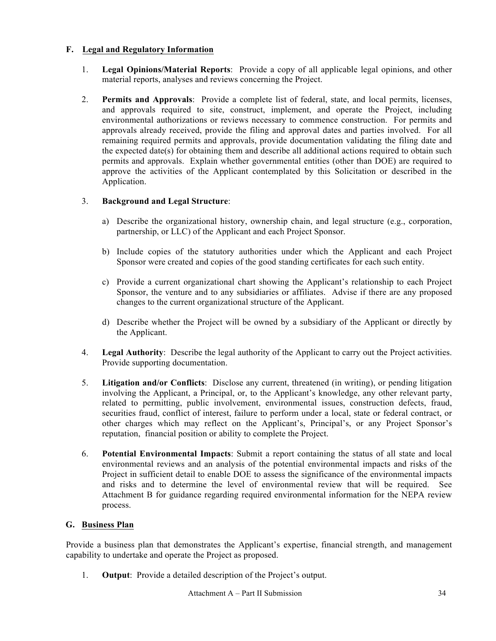# **F. Legal and Regulatory Information**

- 1. **Legal Opinions/Material Reports**: Provide a copy of all applicable legal opinions, and other material reports, analyses and reviews concerning the Project.
- 2. **Permits and Approvals**: Provide a complete list of federal, state, and local permits, licenses, and approvals required to site, construct, implement, and operate the Project, including environmental authorizations or reviews necessary to commence construction. For permits and approvals already received, provide the filing and approval dates and parties involved. For all remaining required permits and approvals, provide documentation validating the filing date and the expected date(s) for obtaining them and describe all additional actions required to obtain such permits and approvals. Explain whether governmental entities (other than DOE) are required to approve the activities of the Applicant contemplated by this Solicitation or described in the Application.

# 3. **Background and Legal Structure**:

- a) Describe the organizational history, ownership chain, and legal structure (e.g., corporation, partnership, or LLC) of the Applicant and each Project Sponsor.
- b) Include copies of the statutory authorities under which the Applicant and each Project Sponsor were created and copies of the good standing certificates for each such entity.
- c) Provide a current organizational chart showing the Applicant's relationship to each Project Sponsor, the venture and to any subsidiaries or affiliates. Advise if there are any proposed changes to the current organizational structure of the Applicant.
- d) Describe whether the Project will be owned by a subsidiary of the Applicant or directly by the Applicant.
- 4. **Legal Authority**: Describe the legal authority of the Applicant to carry out the Project activities. Provide supporting documentation.
- 5. **Litigation and/or Conflicts**: Disclose any current, threatened (in writing), or pending litigation involving the Applicant, a Principal, or, to the Applicant's knowledge, any other relevant party, related to permitting, public involvement, environmental issues, construction defects, fraud, securities fraud, conflict of interest, failure to perform under a local, state or federal contract, or other charges which may reflect on the Applicant's, Principal's, or any Project Sponsor's reputation, financial position or ability to complete the Project.
- 6. **Potential Environmental Impacts**: Submit a report containing the status of all state and local environmental reviews and an analysis of the potential environmental impacts and risks of the Project in sufficient detail to enable DOE to assess the significance of the environmental impacts and risks and to determine the level of environmental review that will be required. See Attachment B for guidance regarding required environmental information for the NEPA review process.

# **G. Business Plan**

Provide a business plan that demonstrates the Applicant's expertise, financial strength, and management capability to undertake and operate the Project as proposed.

1. **Output**: Provide a detailed description of the Project's output.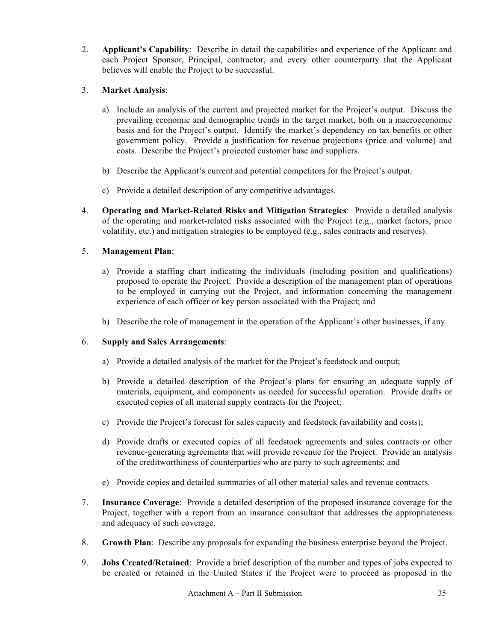2. **Applicant's Capability**: Describe in detail the capabilities and experience of the Applicant and each Project Sponsor, Principal, contractor, and every other counterparty that the Applicant believes will enable the Project to be successful.

# 3. **Market Analysis**:

- a) Include an analysis of the current and projected market for the Project's output. Discuss the prevailing economic and demographic trends in the target market, both on a macroeconomic basis and for the Project's output. Identify the market's dependency on tax benefits or other government policy. Provide a justification for revenue projections (price and volume) and costs. Describe the Project's projected customer base and suppliers.
- b) Describe the Applicant's current and potential competitors for the Project's output.
- c) Provide a detailed description of any competitive advantages.
- 4. **Operating and Market-Related Risks and Mitigation Strategies**: Provide a detailed analysis of the operating and market-related risks associated with the Project (e.g., market factors, price volatility, etc.) and mitigation strategies to be employed (e.g., sales contracts and reserves).

# 5. **Management Plan**:

- a) Provide a staffing chart indicating the individuals (including position and qualifications) proposed to operate the Project. Provide a description of the management plan of operations to be employed in carrying out the Project, and information concerning the management experience of each officer or key person associated with the Project; and
- b) Describe the role of management in the operation of the Applicant's other businesses, if any.

# 6. **Supply and Sales Arrangements**:

- a) Provide a detailed analysis of the market for the Project's feedstock and output;
- b) Provide a detailed description of the Project's plans for ensuring an adequate supply of materials, equipment, and components as needed for successful operation.Provide drafts or executed copies of all material supply contracts for the Project;
- c) Provide the Project's forecast for sales capacity and feedstock (availability and costs);
- d) Provide drafts or executed copies of all feedstock agreements and sales contracts or other revenue-generating agreements that will provide revenue for the Project. Provide an analysis of the creditworthiness of counterparties who are party to such agreements; and
- e) Provide copies and detailed summaries of all other material sales and revenue contracts.
- 7. **Insurance Coverage**:Provide a detailed description of the proposed insurance coverage for the Project, together with a report from an insurance consultant that addresses the appropriateness and adequacy of such coverage.
- 8. **Growth Plan**: Describe any proposals for expanding the business enterprise beyond the Project.
- 9. **Jobs Created/Retained**: Provide a brief description of the number and types of jobs expected to be created or retained in the United States if the Project were to proceed as proposed in the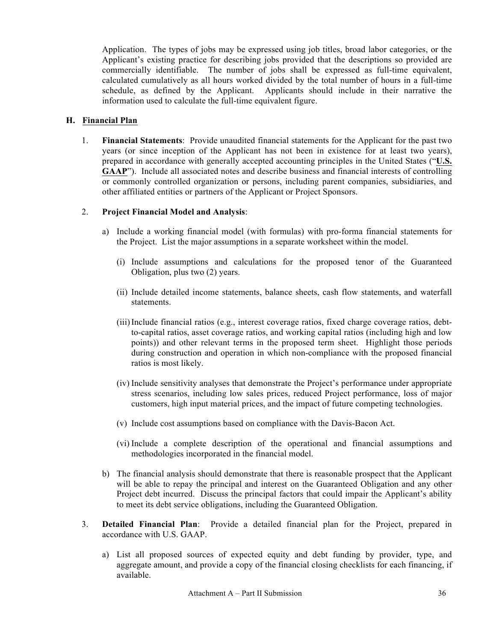Application. The types of jobs may be expressed using job titles, broad labor categories, or the Applicant's existing practice for describing jobs provided that the descriptions so provided are commercially identifiable. The number of jobs shall be expressed as full-time equivalent, calculated cumulatively as all hours worked divided by the total number of hours in a full-time schedule, as defined by the Applicant. Applicants should include in their narrative the information used to calculate the full-time equivalent figure.

# **H. Financial Plan**

1. **Financial Statements**:Provide unaudited financial statements for the Applicant for the past two years (or since inception of the Applicant has not been in existence for at least two years), prepared in accordance with generally accepted accounting principles in the United States ("**U.S. GAAP**"). Include all associated notes and describe business and financial interests of controlling or commonly controlled organization or persons, including parent companies, subsidiaries, and other affiliated entities or partners of the Applicant or Project Sponsors.

# 2. **Project Financial Model and Analysis**:

- a) Include a working financial model (with formulas) with pro-forma financial statements for the Project. List the major assumptions in a separate worksheet within the model.
	- (i) Include assumptions and calculations for the proposed tenor of the Guaranteed Obligation, plus two (2) years.
	- (ii) Include detailed income statements, balance sheets, cash flow statements, and waterfall statements.
	- (iii)Include financial ratios (e.g., interest coverage ratios, fixed charge coverage ratios, debtto-capital ratios, asset coverage ratios, and working capital ratios (including high and low points)) and other relevant terms in the proposed term sheet. Highlight those periods during construction and operation in which non-compliance with the proposed financial ratios is most likely.
	- (iv) Include sensitivity analyses that demonstrate the Project's performance under appropriate stress scenarios, including low sales prices, reduced Project performance, loss of major customers, high input material prices, and the impact of future competing technologies.
	- (v) Include cost assumptions based on compliance with the Davis-Bacon Act.
	- (vi) Include a complete description of the operational and financial assumptions and methodologies incorporated in the financial model.
- b) The financial analysis should demonstrate that there is reasonable prospect that the Applicant will be able to repay the principal and interest on the Guaranteed Obligation and any other Project debt incurred. Discuss the principal factors that could impair the Applicant's ability to meet its debt service obligations, including the Guaranteed Obligation.
- 3. **Detailed Financial Plan**: Provide a detailed financial plan for the Project, prepared in accordance with U.S. GAAP.
	- a) List all proposed sources of expected equity and debt funding by provider, type, and aggregate amount, and provide a copy of the financial closing checklists for each financing, if available.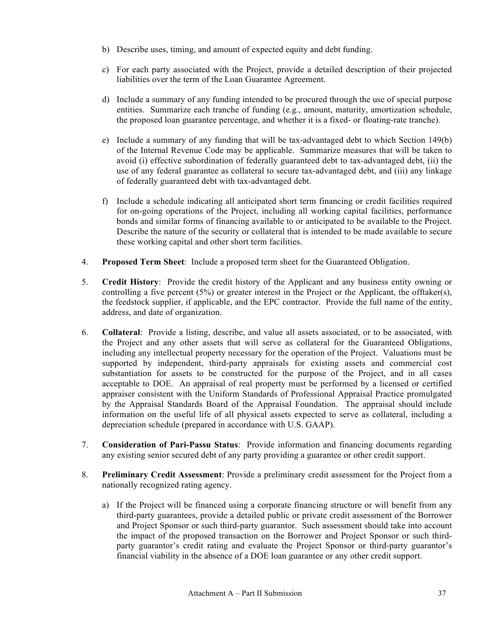- b) Describe uses, timing, and amount of expected equity and debt funding.
- c) For each party associated with the Project, provide a detailed description of their projected liabilities over the term of the Loan Guarantee Agreement.
- d) Include a summary of any funding intended to be procured through the use of special purpose entities. Summarize each tranche of funding (e.g., amount, maturity, amortization schedule, the proposed loan guarantee percentage, and whether it is a fixed- or floating-rate tranche).
- e) Include a summary of any funding that will be tax-advantaged debt to which Section 149(b) of the Internal Revenue Code may be applicable. Summarize measures that will be taken to avoid (i) effective subordination of federally guaranteed debt to tax-advantaged debt, (ii) the use of any federal guarantee as collateral to secure tax-advantaged debt, and (iii) any linkage of federally guaranteed debt with tax-advantaged debt.
- f) Include a schedule indicating all anticipated short term financing or credit facilities required for on-going operations of the Project, including all working capital facilities, performance bonds and similar forms of financing available to or anticipated to be available to the Project. Describe the nature of the security or collateral that is intended to be made available to secure these working capital and other short term facilities.
- 4. **Proposed Term Sheet**: Include a proposed term sheet for the Guaranteed Obligation.
- 5. **Credit History**: Provide the credit history of the Applicant and any business entity owning or controlling a five percent (5%) or greater interest in the Project or the Applicant, the offtaker(s), the feedstock supplier, if applicable, and the EPC contractor. Provide the full name of the entity, address, and date of organization.
- 6. **Collateral**: Provide a listing, describe, and value all assets associated, or to be associated, with the Project and any other assets that will serve as collateral for the Guaranteed Obligations, including any intellectual property necessary for the operation of the Project. Valuations must be supported by independent, third-party appraisals for existing assets and commercial cost substantiation for assets to be constructed for the purpose of the Project, and in all cases acceptable to DOE. An appraisal of real property must be performed by a licensed or certified appraiser consistent with the Uniform Standards of Professional Appraisal Practice promulgated by the Appraisal Standards Board of the Appraisal Foundation. The appraisal should include information on the useful life of all physical assets expected to serve as collateral, including a depreciation schedule (prepared in accordance with U.S. GAAP).
- 7. **Consideration of Pari-Passu Status**: Provide information and financing documents regarding any existing senior secured debt of any party providing a guarantee or other credit support.
- 8. **Preliminary Credit Assessment**: Provide a preliminary credit assessment for the Project from a nationally recognized rating agency.
	- a) If the Project will be financed using a corporate financing structure or will benefit from any third-party guarantees, provide a detailed public or private credit assessment of the Borrower and Project Sponsor or such third-party guarantor. Such assessment should take into account the impact of the proposed transaction on the Borrower and Project Sponsor or such thirdparty guarantor's credit rating and evaluate the Project Sponsor or third-party guarantor's financial viability in the absence of a DOE loan guarantee or any other credit support.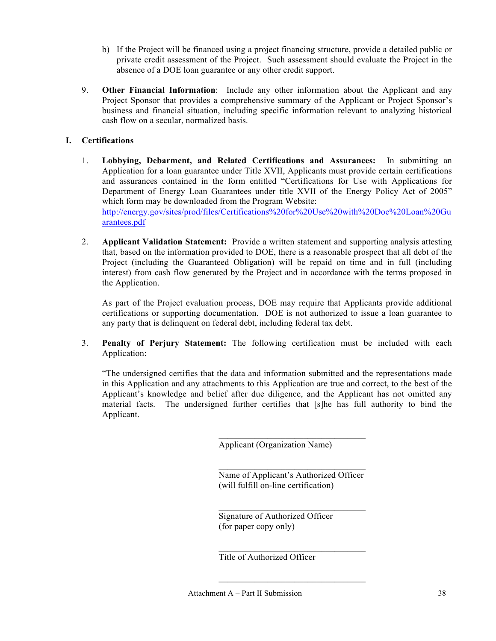- b) If the Project will be financed using a project financing structure, provide a detailed public or private credit assessment of the Project. Such assessment should evaluate the Project in the absence of a DOE loan guarantee or any other credit support.
- 9. **Other Financial Information**: Include any other information about the Applicant and any Project Sponsor that provides a comprehensive summary of the Applicant or Project Sponsor's business and financial situation, including specific information relevant to analyzing historical cash flow on a secular, normalized basis.

# **I. Certifications**

- 1. **Lobbying, Debarment, and Related Certifications and Assurances:** In submitting an Application for a loan guarantee under Title XVII, Applicants must provide certain certifications and assurances contained in the form entitled "Certifications for Use with Applications for Department of Energy Loan Guarantees under title XVII of the Energy Policy Act of 2005" which form may be downloaded from the Program Website: http://energy.gov/sites/prod/files/Certifications%20for%20Use%20with%20Doe%20Loan%20Gu arantees.pdf
- 2. **Applicant Validation Statement:** Provide a written statement and supporting analysis attesting that, based on the information provided to DOE, there is a reasonable prospect that all debt of the Project (including the Guaranteed Obligation) will be repaid on time and in full (including interest) from cash flow generated by the Project and in accordance with the terms proposed in the Application.

As part of the Project evaluation process, DOE may require that Applicants provide additional certifications or supporting documentation. DOE is not authorized to issue a loan guarantee to any party that is delinquent on federal debt, including federal tax debt.

3. **Penalty of Perjury Statement:** The following certification must be included with each Application:

"The undersigned certifies that the data and information submitted and the representations made in this Application and any attachments to this Application are true and correct, to the best of the Applicant's knowledge and belief after due diligence, and the Applicant has not omitted any material facts. The undersigned further certifies that [s]he has full authority to bind the Applicant.

Applicant (Organization Name)

 $\overline{\phantom{a}}$  , where  $\overline{\phantom{a}}$  , where  $\overline{\phantom{a}}$  , where  $\overline{\phantom{a}}$ Name of Applicant's Authorized Officer (will fulfill on-line certification)

 $\overline{\phantom{a}}$  , where  $\overline{\phantom{a}}$  , where  $\overline{\phantom{a}}$  , where  $\overline{\phantom{a}}$ 

 $\overline{\phantom{a}}$  , where  $\overline{\phantom{a}}$  , where  $\overline{\phantom{a}}$  , where  $\overline{\phantom{a}}$ 

 $\mathcal{L}_\text{max}$  and  $\mathcal{L}_\text{max}$  and  $\mathcal{L}_\text{max}$  and  $\mathcal{L}_\text{max}$ 

 $\mathcal{L}_\text{max}$  and  $\mathcal{L}_\text{max}$  and  $\mathcal{L}_\text{max}$  and  $\mathcal{L}_\text{max}$ 

Signature of Authorized Officer (for paper copy only)

Title of Authorized Officer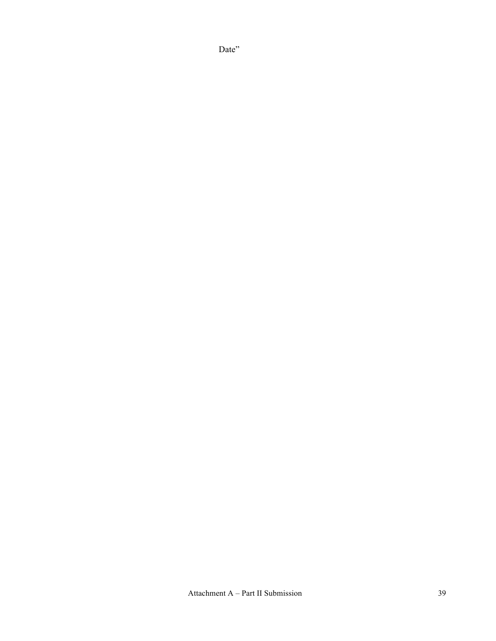Date"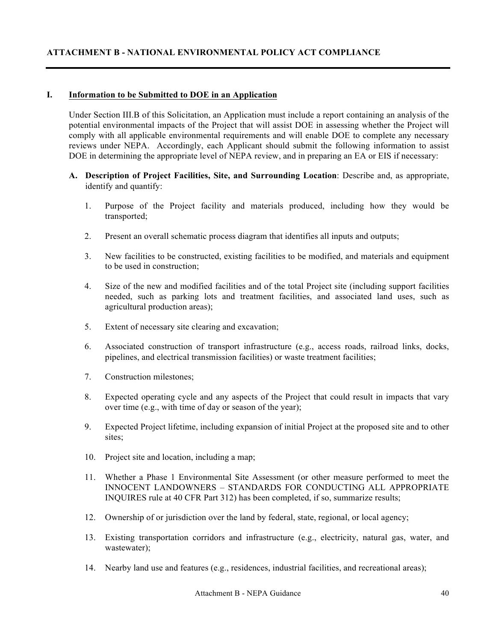#### **I. Information to be Submitted to DOE in an Application**

Under Section III.B of this Solicitation, an Application must include a report containing an analysis of the potential environmental impacts of the Project that will assist DOE in assessing whether the Project will comply with all applicable environmental requirements and will enable DOE to complete any necessary reviews under NEPA. Accordingly, each Applicant should submit the following information to assist DOE in determining the appropriate level of NEPA review, and in preparing an EA or EIS if necessary:

- **A. Description of Project Facilities, Site, and Surrounding Location**: Describe and, as appropriate, identify and quantify:
	- 1. Purpose of the Project facility and materials produced, including how they would be transported;
	- 2. Present an overall schematic process diagram that identifies all inputs and outputs;
	- 3. New facilities to be constructed, existing facilities to be modified, and materials and equipment to be used in construction;
	- 4. Size of the new and modified facilities and of the total Project site (including support facilities needed, such as parking lots and treatment facilities, and associated land uses, such as agricultural production areas);
	- 5. Extent of necessary site clearing and excavation;
	- 6. Associated construction of transport infrastructure (e.g., access roads, railroad links, docks, pipelines, and electrical transmission facilities) or waste treatment facilities;
	- 7. Construction milestones;
	- 8. Expected operating cycle and any aspects of the Project that could result in impacts that vary over time (e.g., with time of day or season of the year);
	- 9. Expected Project lifetime, including expansion of initial Project at the proposed site and to other sites;
	- 10. Project site and location, including a map;
	- 11. Whether a Phase 1 Environmental Site Assessment (or other measure performed to meet the INNOCENT LANDOWNERS – STANDARDS FOR CONDUCTING ALL APPROPRIATE INQUIRES rule at 40 CFR Part 312) has been completed, if so, summarize results;
	- 12. Ownership of or jurisdiction over the land by federal, state, regional, or local agency;
	- 13. Existing transportation corridors and infrastructure (e.g., electricity, natural gas, water, and wastewater);
	- 14. Nearby land use and features (e.g., residences, industrial facilities, and recreational areas);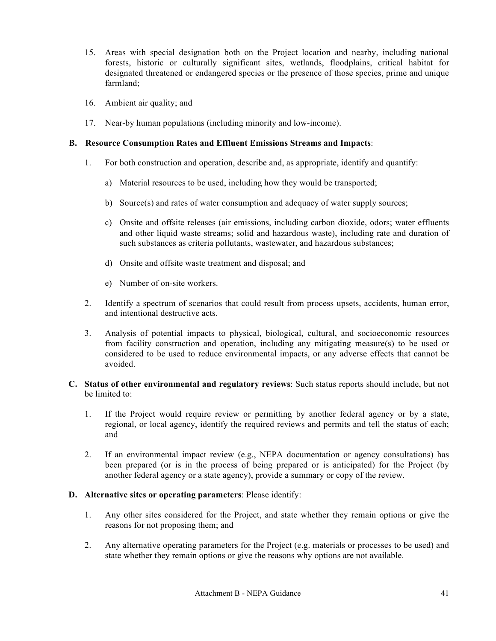- 15. Areas with special designation both on the Project location and nearby, including national forests, historic or culturally significant sites, wetlands, floodplains, critical habitat for designated threatened or endangered species or the presence of those species, prime and unique farmland;
- 16. Ambient air quality; and
- 17. Near-by human populations (including minority and low-income).

# **B. Resource Consumption Rates and Effluent Emissions Streams and Impacts**:

- 1. For both construction and operation, describe and, as appropriate, identify and quantify:
	- a) Material resources to be used, including how they would be transported;
	- b) Source(s) and rates of water consumption and adequacy of water supply sources;
	- c) Onsite and offsite releases (air emissions, including carbon dioxide, odors; water effluents and other liquid waste streams; solid and hazardous waste), including rate and duration of such substances as criteria pollutants, wastewater, and hazardous substances;
	- d) Onsite and offsite waste treatment and disposal; and
	- e) Number of on-site workers.
- 2. Identify a spectrum of scenarios that could result from process upsets, accidents, human error, and intentional destructive acts.
- 3. Analysis of potential impacts to physical, biological, cultural, and socioeconomic resources from facility construction and operation, including any mitigating measure(s) to be used or considered to be used to reduce environmental impacts, or any adverse effects that cannot be avoided.
- **C. Status of other environmental and regulatory reviews**: Such status reports should include, but not be limited to:
	- 1. If the Project would require review or permitting by another federal agency or by a state, regional, or local agency, identify the required reviews and permits and tell the status of each; and
	- 2. If an environmental impact review (e.g., NEPA documentation or agency consultations) has been prepared (or is in the process of being prepared or is anticipated) for the Project (by another federal agency or a state agency), provide a summary or copy of the review.

#### **D. Alternative sites or operating parameters**: Please identify:

- 1. Any other sites considered for the Project, and state whether they remain options or give the reasons for not proposing them; and
- 2. Any alternative operating parameters for the Project (e.g. materials or processes to be used) and state whether they remain options or give the reasons why options are not available.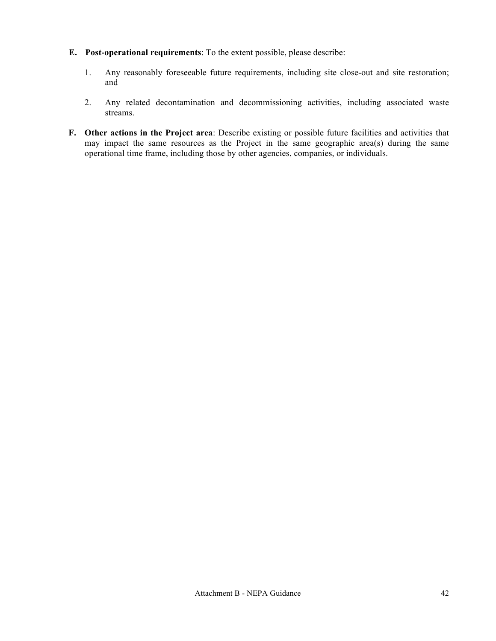- **E. Post-operational requirements**: To the extent possible, please describe:
	- 1. Any reasonably foreseeable future requirements, including site close-out and site restoration; and
	- 2. Any related decontamination and decommissioning activities, including associated waste streams.
- **F. Other actions in the Project area**: Describe existing or possible future facilities and activities that may impact the same resources as the Project in the same geographic area(s) during the same operational time frame, including those by other agencies, companies, or individuals.